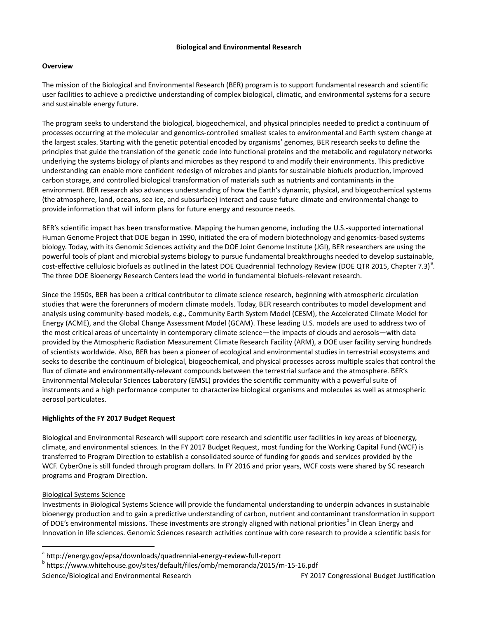# **Biological and Environmental Research**

# **Overview**

The mission of the Biological and Environmental Research (BER) program is to support fundamental research and scientific user facilities to achieve a predictive understanding of complex biological, climatic, and environmental systems for a secure and sustainable energy future.

The program seeks to understand the biological, biogeochemical, and physical principles needed to predict a continuum of processes occurring at the molecular and genomics-controlled smallest scales to environmental and Earth system change at the largest scales. Starting with the genetic potential encoded by organisms' genomes, BER research seeks to define the principles that guide the translation of the genetic code into functional proteins and the metabolic and regulatory networks underlying the systems biology of plants and microbes as they respond to and modify their environments. This predictive understanding can enable more confident redesign of microbes and plants for sustainable biofuels production, improved carbon storage, and controlled biological transformation of materials such as nutrients and contaminants in the environment. BER research also advances understanding of how the Earth's dynamic, physical, and biogeochemical systems (the atmosphere, land, oceans, sea ice, and subsurface) interact and cause future climate and environmental change to provide information that will inform plans for future energy and resource needs.

BER's scientific impact has been transformative. Mapping the human genome, including the U.S.-supported international Human Genome Project that DOE began in 1990, initiated the era of modern biotechnology and genomics-based systems biology. Today, with its Genomic Sciences activity and the DOE Joint Genome Institute (JGI), BER researchers are using the powerful tools of plant and microbial systems biology to pursue fundamental breakthroughs needed to develop sustainable, cost-effective cellulosic biofuels [a](#page-0-0)s outlined in the latest DOE Quadrennial Technology Review (DOE QTR 2015, Chapter 7.3)<sup>a</sup>. The three DOE Bioenergy Research Centers lead the world in fundamental biofuels-relevant research.

Since the 1950s, BER has been a critical contributor to climate science research, beginning with atmospheric circulation studies that were the forerunners of modern climate models. Today, BER research contributes to model development and analysis using community-based models, e.g., Community Earth System Model (CESM), the Accelerated Climate Model for Energy (ACME), and the Global Change Assessment Model (GCAM). These leading U.S. models are used to address two of the most critical areas of uncertainty in contemporary climate science—the impacts of clouds and aerosols—with data provided by the Atmospheric Radiation Measurement Climate Research Facility (ARM), a DOE user facility serving hundreds of scientists worldwide. Also, BER has been a pioneer of ecological and environmental studies in terrestrial ecosystems and seeks to describe the continuum of biological, biogeochemical, and physical processes across multiple scales that control the flux of climate and environmentally-relevant compounds between the terrestrial surface and the atmosphere. BER's Environmental Molecular Sciences Laboratory (EMSL) provides the scientific community with a powerful suite of instruments and a high performance computer to characterize biological organisms and molecules as well as atmospheric aerosol particulates.

# **Highlights of the FY 2017 Budget Request**

Biological and Environmental Research will support core research and scientific user facilities in key areas of bioenergy, climate, and environmental sciences. In the FY 2017 Budget Request, most funding for the Working Capital Fund (WCF) is transferred to Program Direction to establish a consolidated source of funding for goods and services provided by the WCF. CyberOne is still funded through program dollars. In FY 2016 and prior years, WCF costs were shared by SC research programs and Program Direction.

# Biological Systems Science

Investments in Biological Systems Science will provide the fundamental understanding to underpin advances in sustainable bioenergy production and to gain a predictive understanding of carbon, nutrient and contaminant transformation in support of DOE's environmental missions. These investments are strongly aligned with national priorities<sup>[b](#page-0-1)</sup> in Clean Energy and Innovation in life sciences. Genomic Sciences research activities continue with core research to provide a scientific basis for

<span id="page-0-1"></span><span id="page-0-0"></span><sup>a</sup> http://energy.gov/epsa/downloads/quadrennial-energy-review-full-report<br><sup>b</sup> https://www.whitehouse.gov/sites/default/files/omb/memoranda/2015/m-15-16.pdf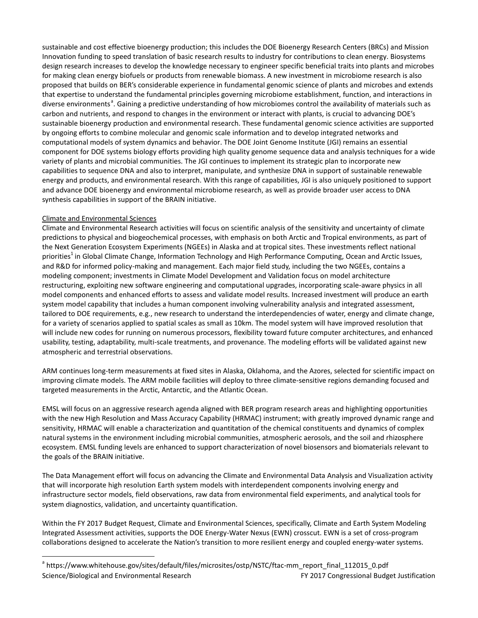sustainable and cost effective bioenergy production; this includes the DOE Bioenergy Research Centers (BRCs) and Mission Innovation funding to speed translation of basic research results to industry for contributions to clean energy. Biosystems design research increases to develop the knowledge necessary to engineer specific beneficial traits into plants and microbes for making clean energy biofuels or products from renewable biomass. A new investment in microbiome research is also proposed that builds on BER's considerable experience in fundamental genomic science of plants and microbes and extends that expertise to understand the fundamental principles governing microbiome establishment, function, and interactions in diverse environments<sup>[a](#page-1-0)</sup>. Gaining a predictive understanding of how microbiomes control the availability of materials such as carbon and nutrients, and respond to changes in the environment or interact with plants, is crucial to advancing DOE's sustainable bioenergy production and environmental research. These fundamental genomic science activities are supported by ongoing efforts to combine molecular and genomic scale information and to develop integrated networks and computational models of system dynamics and behavior. The DOE Joint Genome Institute (JGI) remains an essential component for DOE systems biology efforts providing high quality genome sequence data and analysis techniques for a wide variety of plants and microbial communities. The JGI continues to implement its strategic plan to incorporate new capabilities to sequence DNA and also to interpret, manipulate, and synthesize DNA in support of sustainable renewable energy and products, and environmental research. With this range of capabilities, JGI is also uniquely positioned to support and advance DOE bioenergy and environmental microbiome research, as well as provide broader user access to DNA synthesis capabilities in support of the BRAIN initiative.

# Climate and Environmental Sciences

Climate and Environmental Research activities will focus on scientific analysis of the sensitivity and uncertainty of climate predictions to physical and biogeochemical processes, with emphasis on both Arctic and Tropical environments, as part of the Next Generation Ecosystem Experiments (NGEEs) in Alaska and at tropical sites. These investments reflect national priorities<sup>1</sup> in Global Climate Change, Information Technology and High Performance Computing, Ocean and Arctic Issues, and R&D for informed policy-making and management. Each major field study, including the two NGEEs, contains a modeling component; investments in Climate Model Development and Validation focus on model architecture restructuring, exploiting new software engineering and computational upgrades, incorporating scale-aware physics in all model components and enhanced efforts to assess and validate model results. Increased investment will produce an earth system model capability that includes a human component involving vulnerability analysis and integrated assessment, tailored to DOE requirements, e.g., new research to understand the interdependencies of water, energy and climate change, for a variety of scenarios applied to spatial scales as small as 10km. The model system will have improved resolution that will include new codes for running on numerous processors, flexibility toward future computer architectures, and enhanced usability, testing, adaptability, multi-scale treatments, and provenance. The modeling efforts will be validated against new atmospheric and terrestrial observations.

ARM continues long-term measurements at fixed sites in Alaska, Oklahoma, and the Azores, selected for scientific impact on improving climate models. The ARM mobile facilities will deploy to three climate-sensitive regions demanding focused and targeted measurements in the Arctic, Antarctic, and the Atlantic Ocean.

EMSL will focus on an aggressive research agenda aligned with BER program research areas and highlighting opportunities with the new High Resolution and Mass Accuracy Capability (HRMAC) instrument; with greatly improved dynamic range and sensitivity, HRMAC will enable a characterization and quantitation of the chemical constituents and dynamics of complex natural systems in the environment including microbial communities, atmospheric aerosols, and the soil and rhizosphere ecosystem. EMSL funding levels are enhanced to support characterization of novel biosensors and biomaterials relevant to the goals of the BRAIN initiative.

The Data Management effort will focus on advancing the Climate and Environmental Data Analysis and Visualization activity that will incorporate high resolution Earth system models with interdependent components involving energy and infrastructure sector models, field observations, raw data from environmental field experiments, and analytical tools for system diagnostics, validation, and uncertainty quantification.

Within the FY 2017 Budget Request, Climate and Environmental Sciences, specifically, Climate and Earth System Modeling Integrated Assessment activities, supports the DOE Energy-Water Nexus (EWN) crosscut. EWN is a set of cross-program collaborations designed to accelerate the Nation's transition to more resilient energy and coupled energy-water systems.

<span id="page-1-0"></span>Science/Biological and Environmental Research **FY 2017** Congressional Budget Justification <sup>a</sup> https://www.whitehouse.gov/sites/default/files/microsites/ostp/NSTC/ftac-mm\_report\_final\_112015\_0.pdf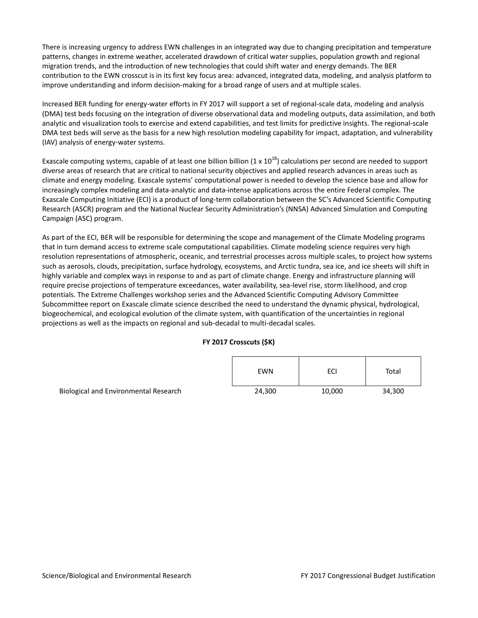There is increasing urgency to address EWN challenges in an integrated way due to changing precipitation and temperature patterns, changes in extreme weather, accelerated drawdown of critical water supplies, population growth and regional migration trends, and the introduction of new technologies that could shift water and energy demands. The BER contribution to the EWN crosscut is in its first key focus area: advanced, integrated data, modeling, and analysis platform to improve understanding and inform decision-making for a broad range of users and at multiple scales.

Increased BER funding for energy-water efforts in FY 2017 will support a set of regional-scale data, modeling and analysis (DMA) test beds focusing on the integration of diverse observational data and modeling outputs, data assimilation, and both analytic and visualization tools to exercise and extend capabilities, and test limits for predictive insights. The regional-scale DMA test beds will serve as the basis for a new high resolution modeling capability for impact, adaptation, and vulnerability (IAV) analysis of energy-water systems.

Exascale computing systems, capable of at least one billion billion  $(1 \times 10^{18})$  calculations per second are needed to support diverse areas of research that are critical to national security objectives and applied research advances in areas such as climate and energy modeling. Exascale systems' computational power is needed to develop the science base and allow for increasingly complex modeling and data-analytic and data-intense applications across the entire Federal complex. The Exascale Computing Initiative (ECI) is a product of long-term collaboration between the SC's Advanced Scientific Computing Research (ASCR) program and the National Nuclear Security Administration's (NNSA) Advanced Simulation and Computing Campaign (ASC) program.

As part of the ECI, BER will be responsible for determining the scope and management of the Climate Modeling programs that in turn demand access to extreme scale computational capabilities. Climate modeling science requires very high resolution representations of atmospheric, oceanic, and terrestrial processes across multiple scales, to project how systems such as aerosols, clouds, precipitation, surface hydrology, ecosystems, and Arctic tundra, sea ice, and ice sheets will shift in highly variable and complex ways in response to and as part of climate change. Energy and infrastructure planning will require precise projections of temperature exceedances, water availability, sea-level rise, storm likelihood, and crop potentials. The Extreme Challenges workshop series and the Advanced Scientific Computing Advisory Committee Subcommittee report on Exascale climate science described the need to understand the dynamic physical, hydrological, biogeochemical, and ecological evolution of the climate system, with quantification of the uncertainties in regional projections as well as the impacts on regional and sub-decadal to multi-decadal scales.

# **FY 2017 Crosscuts (\$K)**

|                                       | EWN    | ECI    | Total  |
|---------------------------------------|--------|--------|--------|
| Biological and Environmental Research | 24,300 | 10,000 | 34,300 |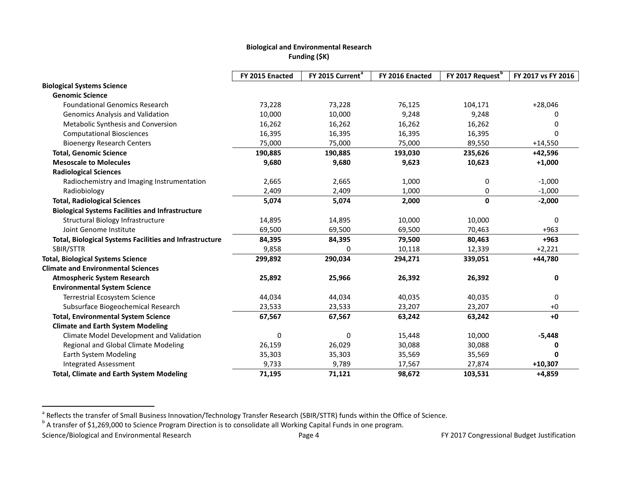# <span id="page-3-1"></span><span id="page-3-0"></span>**Biological and Environmental Research Funding (\$K)**

|                                                                | FY 2015 Enacted | FY 2015 Current <sup>a</sup> | FY 2016 Enacted | FY 2017 Request <sup>b</sup> | FY 2017 vs FY 2016 |
|----------------------------------------------------------------|-----------------|------------------------------|-----------------|------------------------------|--------------------|
| <b>Biological Systems Science</b>                              |                 |                              |                 |                              |                    |
| <b>Genomic Science</b>                                         |                 |                              |                 |                              |                    |
| <b>Foundational Genomics Research</b>                          | 73,228          | 73,228                       | 76,125          | 104,171                      | $+28,046$          |
| <b>Genomics Analysis and Validation</b>                        | 10,000          | 10,000                       | 9,248           | 9,248                        |                    |
| Metabolic Synthesis and Conversion                             | 16,262          | 16,262                       | 16,262          | 16,262                       | <sup>0</sup>       |
| <b>Computational Biosciences</b>                               | 16,395          | 16,395                       | 16,395          | 16,395                       | $\Omega$           |
| <b>Bioenergy Research Centers</b>                              | 75,000          | 75,000                       | 75,000          | 89,550                       | $+14,550$          |
| <b>Total, Genomic Science</b>                                  | 190,885         | 190,885                      | 193,030         | 235,626                      | +42,596            |
| <b>Mesoscale to Molecules</b>                                  | 9,680           | 9,680                        | 9,623           | 10,623                       | $+1,000$           |
| <b>Radiological Sciences</b>                                   |                 |                              |                 |                              |                    |
| Radiochemistry and Imaging Instrumentation                     | 2,665           | 2,665                        | 1,000           | 0                            | $-1,000$           |
| Radiobiology                                                   | 2,409           | 2,409                        | 1,000           | 0                            | $-1,000$           |
| <b>Total, Radiological Sciences</b>                            | 5,074           | 5,074                        | 2,000           | 0                            | $-2,000$           |
| <b>Biological Systems Facilities and Infrastructure</b>        |                 |                              |                 |                              |                    |
| Structural Biology Infrastructure                              | 14,895          | 14,895                       | 10,000          | 10,000                       | 0                  |
| Joint Genome Institute                                         | 69,500          | 69,500                       | 69,500          | 70,463                       | $+963$             |
| <b>Total, Biological Systems Facilities and Infrastructure</b> | 84,395          | 84,395                       | 79,500          | 80,463                       | $+963$             |
| SBIR/STTR                                                      | 9,858           | 0                            | 10,118          | 12,339                       | $+2,221$           |
| <b>Total, Biological Systems Science</b>                       | 299,892         | 290,034                      | 294,271         | 339,051                      | +44,780            |
| <b>Climate and Environmental Sciences</b>                      |                 |                              |                 |                              |                    |
| <b>Atmospheric System Research</b>                             | 25,892          | 25,966                       | 26,392          | 26,392                       | 0                  |
| <b>Environmental System Science</b>                            |                 |                              |                 |                              |                    |
| <b>Terrestrial Ecosystem Science</b>                           | 44,034          | 44,034                       | 40,035          | 40,035                       | 0                  |
| Subsurface Biogeochemical Research                             | 23,533          | 23,533                       | 23,207          | 23,207                       | $+0$               |
| <b>Total, Environmental System Science</b>                     | 67,567          | 67,567                       | 63,242          | 63,242                       | $+0$               |
| <b>Climate and Earth System Modeling</b>                       |                 |                              |                 |                              |                    |
| Climate Model Development and Validation                       | 0               | 0                            | 15,448          | 10,000                       | $-5,448$           |
| Regional and Global Climate Modeling                           | 26,159          | 26,029                       | 30,088          | 30,088                       |                    |
| <b>Earth System Modeling</b>                                   | 35,303          | 35,303                       | 35,569          | 35,569                       | 0                  |
| <b>Integrated Assessment</b>                                   | 9,733           | 9,789                        | 17,567          | 27,874                       | $+10,307$          |
| <b>Total, Climate and Earth System Modeling</b>                | 71,195          | 71,121                       | 98,672          | 103,531                      | $+4,859$           |

<sup>&</sup>lt;sup>a</sup> Reflects the transfer of Small Business Innovation/Technology Transfer Research (SBIR/STTR) funds within the Office of Science.<br><sup>b</sup> A transfer of \$1,269,000 to Science Program Direction is to consolidate all Working C

Science/Biological and Environmental Research **Page 4** Page 4 FY 2017 Congressional Budget Justification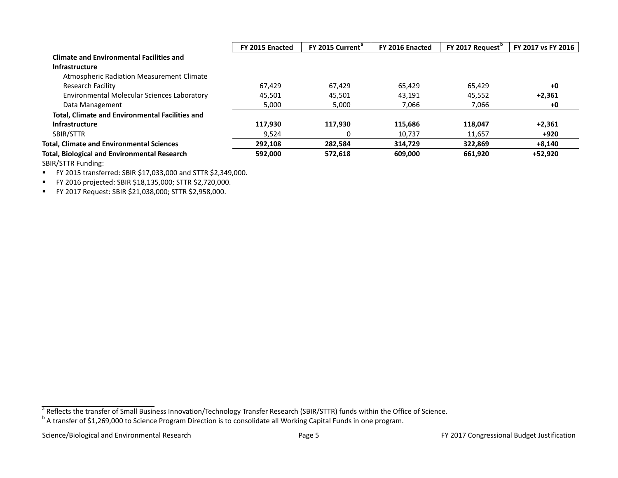|                                                        | FY 2015 Enacted | FY 2015 Current <sup>a</sup> | FY 2016 Enacted | FY 2017 Request <sup>"</sup> | FY 2017 vs FY 2016 |
|--------------------------------------------------------|-----------------|------------------------------|-----------------|------------------------------|--------------------|
| <b>Climate and Environmental Facilities and</b>        |                 |                              |                 |                              |                    |
| <b>Infrastructure</b>                                  |                 |                              |                 |                              |                    |
| Atmospheric Radiation Measurement Climate              |                 |                              |                 |                              |                    |
| Research Facility                                      | 67.429          | 67.429                       | 65.429          | 65.429                       | $+0$               |
| Environmental Molecular Sciences Laboratory            | 45.501          | 45,501                       | 43.191          | 45.552                       | $+2.361$           |
| Data Management                                        | 5,000           | 5,000                        | 7,066           | 7,066                        | +0                 |
| <b>Total, Climate and Environmental Facilities and</b> |                 |                              |                 |                              |                    |
| Infrastructure                                         | 117,930         | 117,930                      | 115,686         | 118,047                      | $+2,361$           |
| SBIR/STTR                                              | 9,524           | 0                            | 10,737          | 11,657                       | +920               |
| <b>Total, Climate and Environmental Sciences</b>       | 292,108         | 282,584                      | 314,729         | 322,869                      | $+8,140$           |
| <b>Total, Biological and Environmental Research</b>    | 592,000         | 572,618                      | 609,000         | 661,920                      | +52,920            |
| <b>SBIR/STTR Funding:</b>                              |                 |                              |                 |                              |                    |

FY 2015 transferred: SBIR \$17,033,000 and STTR \$2,349,000.

FY 2016 projected: SBIR \$18,135,000; STTR \$2,720,000.

FY 2017 Request: SBIR \$21,038,000; STTR \$2,958,000.

<sup>&</sup>lt;sup>a</sup> Reflects the transfer of Small Business Innovation/Technology Transfer Research (SBIR/STTR) funds within the Office of Science.<br><sup>b</sup> A transfer of \$1,269,000 to Science Program Direction is to consolidate all Working Ca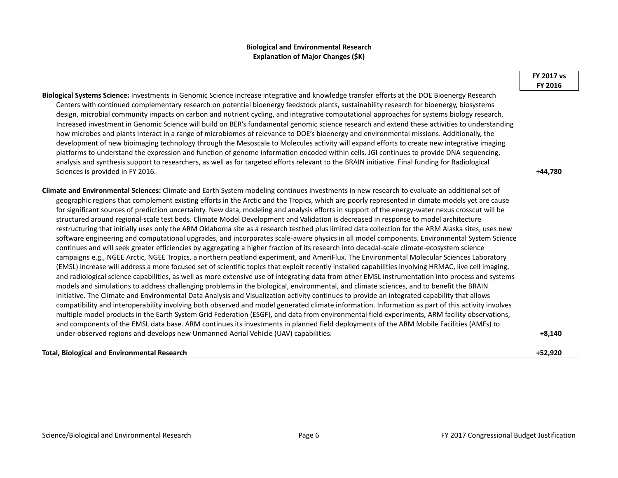## **Biological and Environmental Research Explanation of Major Changes (\$K)**

**Biological Systems Science:** Investments in Genomic Science increase integrative and knowledge transfer efforts at the DOE Bioenergy Research Centers with continued complementary research on potential bioenergy feedstock plants, sustainability research for bioenergy, biosystems design, microbial community impacts on carbon and nutrient cycling, and integrative computational approaches for systems biology research. Increased investment in Genomic Science will build on BER's fundamental genomic science research and extend these activities to understanding how microbes and plants interact in a range of microbiomes of relevance to DOE's bioenergy and environmental missions. Additionally, the development of new bioimaging technology through the Mesoscale to Molecules activity will expand efforts to create new integrative imaging platforms to understand the expression and function of genome information encoded within cells. JGI continues to provide DNA sequencing, analysis and synthesis support to researchers, as well as for targeted efforts relevant to the BRAIN initiative. Final funding for Radiological Sciences is provided in FY 2016. **+44,780**

**Climate and Environmental Sciences:** Climate and Earth System modeling continues investments in new research to evaluate an additional set of geographic regions that complement existing efforts in the Arctic and the Tropics, which are poorly represented in climate models yet are cause for significant sources of prediction uncertainty. New data, modeling and analysis efforts in support of the energy-water nexus crosscut will be structured around regional-scale test beds. Climate Model Development and Validation is decreased in response to model architecture restructuring that initially uses only the ARM Oklahoma site as a research testbed plus limited data collection for the ARM Alaska sites, uses new software engineering and computational upgrades, and incorporates scale-aware physics in all model components. Environmental System Science continues and will seek greater efficiencies by aggregating a higher fraction of its research into decadal-scale climate-ecosystem science campaigns e.g., NGEE Arctic, NGEE Tropics, a northern peatland experiment, and AmeriFlux. The Environmental Molecular Sciences Laboratory (EMSL) increase will address a more focused set of scientific topics that exploit recently installed capabilities involving HRMAC, live cell imaging, and radiological science capabilities, as well as more extensive use of integrating data from other EMSL instrumentation into process and systems models and simulations to address challenging problems in the biological, environmental, and climate sciences, and to benefit the BRAIN initiative. The Climate and Environmental Data Analysis and Visualization activity continues to provide an integrated capability that allows compatibility and interoperability involving both observed and model generated climate information. Information as part of this activity involves multiple model products in the Earth System Grid Federation (ESGF), and data from environmental field experiments, ARM facility observations, and components of the EMSL data base. ARM continues its investments in planned field deployments of the ARM Mobile Facilities (AMFs) to under-observed regions and develops new Unmanned Aerial Vehicle (UAV) capabilities. **+8,140**

#### **Total, Biological and Environmental Research +52,920**

#### **FY 2017 vs FY 2016**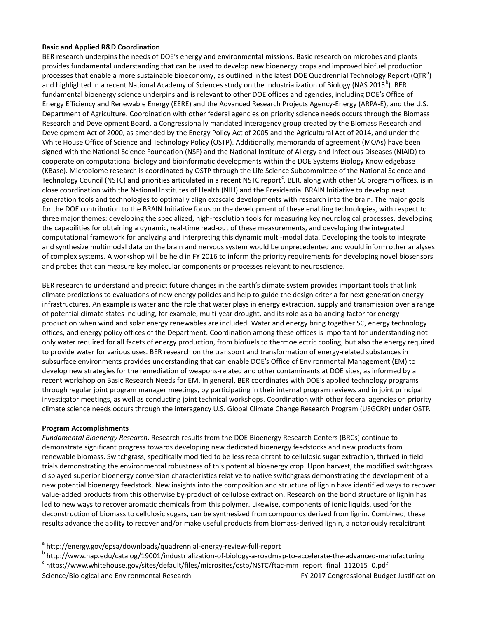## **Basic and Applied R&D Coordination**

BER research underpins the needs of DOE's energy and environmental missions. Basic research on microbes and plants provides fundamental understanding that can be used to develop new bioenergy crops and improved biofuel production processes th[a](#page-6-0)t enable a more sustainable bioeconomy, as outlined in the latest DOE Quadrennial Technology Report (QTR<sup>a</sup>) and highlighted in a recent National Academy of Sciences study on the Industrialization of Biology (NAS 2015<sup>[b](#page-6-1)</sup>). BER fundamental bioenergy science underpins and is relevant to other DOE offices and agencies, including DOE's Office of Energy Efficiency and Renewable Energy (EERE) and the Advanced Research Projects Agency-Energy (ARPA-E), and the U.S. Department of Agriculture. Coordination with other federal agencies on priority science needs occurs through the Biomass Research and Development Board, a Congressionally mandated interagency group created by the Biomass Research and Development Act of 2000, as amended by the Energy Policy Act of 2005 and the Agricultural Act of 2014, and under the White House Office of Science and Technology Policy (OSTP). Additionally, memoranda of agreement (MOAs) have been signed with the National Science Foundation (NSF) and the National Institute of Allergy and Infectious Diseases (NIAID) to cooperate on computational biology and bioinformatic developments within the DOE Systems Biology Knowledgebase (KBase). Microbiome research is coordinated by OSTP through the Life Science Subcommittee of the National Science and Te[c](#page-6-2)hnology Council (NSTC) and priorities articulated in a recent NSTC report<sup>c</sup>. BER, along with other SC program offices, is in close coordination with the National Institutes of Health (NIH) and the Presidential BRAIN Initiative to develop next generation tools and technologies to optimally align exascale developments with research into the brain. The major goals for the DOE contribution to the BRAIN Initiative focus on the development of these enabling technologies, with respect to three major themes: developing the specialized, high-resolution tools for measuring key neurological processes, developing the capabilities for obtaining a dynamic, real-time read-out of these measurements, and developing the integrated computational framework for analyzing and interpreting this dynamic multi-modal data. Developing the tools to integrate and synthesize multimodal data on the brain and nervous system would be unprecedented and would inform other analyses of complex systems. A workshop will be held in FY 2016 to inform the priority requirements for developing novel biosensors and probes that can measure key molecular components or processes relevant to neuroscience.

BER research to understand and predict future changes in the earth's climate system provides important tools that link climate predictions to evaluations of new energy policies and help to guide the design criteria for next generation energy infrastructures. An example is water and the role that water plays in energy extraction, supply and transmission over a range of potential climate states including, for example, multi-year drought, and its role as a balancing factor for energy production when wind and solar energy renewables are included. Water and energy bring together SC, energy technology offices, and energy policy offices of the Department. Coordination among these offices is important for understanding not only water required for all facets of energy production, from biofuels to thermoelectric cooling, but also the energy required to provide water for various uses. BER research on the transport and transformation of energy-related substances in subsurface environments provides understanding that can enable DOE's Office of Environmental Management (EM) to develop new strategies for the remediation of weapons-related and other contaminants at DOE sites, as informed by a recent workshop on Basic Research Needs for EM. In general, BER coordinates with DOE's applied technology programs through regular joint program manager meetings, by participating in their internal program reviews and in joint principal investigator meetings, as well as conducting joint technical workshops. Coordination with other federal agencies on priority climate science needs occurs through the interagency U.S. Global Climate Change Research Program (USGCRP) under OSTP.

## **Program Accomplishments**

*Fundamental Bioenergy Research*. Research results from the DOE Bioenergy Research Centers (BRCs) continue to demonstrate significant progress towards developing new dedicated bioenergy feedstocks and new products from renewable biomass. Switchgrass, specifically modified to be less recalcitrant to cellulosic sugar extraction, thrived in field trials demonstrating the environmental robustness of this potential bioenergy crop. Upon harvest, the modified switchgrass displayed superior bioenergy conversion characteristics relative to native switchgrass demonstrating the development of a new potential bioenergy feedstock. New insights into the composition and structure of lignin have identified ways to recover value-added products from this otherwise by-product of cellulose extraction. Research on the bond structure of lignin has led to new ways to recover aromatic chemicals from this polymer. Likewise, components of ionic liquids, used for the deconstruction of biomass to cellulosic sugars, can be synthesized from compounds derived from lignin. Combined, these results advance the ability to recover and/or make useful products from biomass-derived lignin, a notoriously recalcitrant

<span id="page-6-1"></span><span id="page-6-0"></span><sup>a</sup> http://energy.gov/epsa/downloads/quadrennial-energy-review-full-report<br><sup>b</sup> [http://www.nap.edu/catalog/19001/industrialization-of-biology-a-roadmap-to-accelerate-the-advanced-manufacturi](http://www.nap.edu/catalog/19001/industrialization-of-biology-a-roadmap-to-accelerate-the-advanced-manufacturk)ng<br><sup>c</sup> https://www.whitehouse.gov

<span id="page-6-2"></span>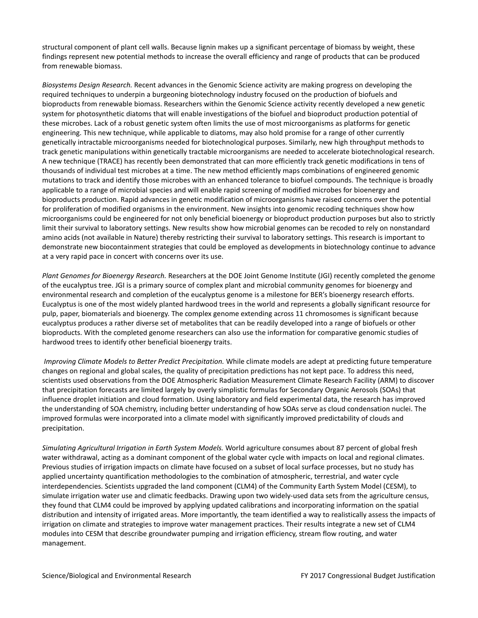structural component of plant cell walls. Because lignin makes up a significant percentage of biomass by weight, these findings represent new potential methods to increase the overall efficiency and range of products that can be produced from renewable biomass.

*Biosystems Design Research.* Recent advances in the Genomic Science activity are making progress on developing the required techniques to underpin a burgeoning biotechnology industry focused on the production of biofuels and bioproducts from renewable biomass. Researchers within the Genomic Science activity recently developed a new genetic system for photosynthetic diatoms that will enable investigations of the biofuel and bioproduct production potential of these microbes. Lack of a robust genetic system often limits the use of most microorganisms as platforms for genetic engineering. This new technique, while applicable to diatoms, may also hold promise for a range of other currently genetically intractable microorganisms needed for biotechnological purposes. Similarly, new high throughput methods to track genetic manipulations within genetically tractable microorganisms are needed to accelerate biotechnological research. A new technique (TRACE) has recently been demonstrated that can more efficiently track genetic modifications in tens of thousands of individual test microbes at a time. The new method efficiently maps combinations of engineered genomic mutations to track and identify those microbes with an enhanced tolerance to biofuel compounds. The technique is broadly applicable to a range of microbial species and will enable rapid screening of modified microbes for bioenergy and bioproducts production. Rapid advances in genetic modification of microorganisms have raised concerns over the potential for proliferation of modified organisms in the environment. New insights into genomic recoding techniques show how microorganisms could be engineered for not only beneficial bioenergy or bioproduct production purposes but also to strictly limit their survival to laboratory settings. New results show how microbial genomes can be recoded to rely on nonstandard amino acids (not available in Nature) thereby restricting their survival to laboratory settings. This research is important to demonstrate new biocontainment strategies that could be employed as developments in biotechnology continue to advance at a very rapid pace in concert with concerns over its use.

*Plant Genomes for Bioenergy Research.* Researchers at the DOE Joint Genome Institute (JGI) recently completed the genome of the eucalyptus tree. JGI is a primary source of complex plant and microbial community genomes for bioenergy and environmental research and completion of the eucalyptus genome is a milestone for BER's bioenergy research efforts. Eucalyptus is one of the most widely planted hardwood trees in the world and represents a globally significant resource for pulp, paper, biomaterials and bioenergy. The complex genome extending across 11 chromosomes is significant because eucalyptus produces a rather diverse set of metabolites that can be readily developed into a range of biofuels or other bioproducts. With the completed genome researchers can also use the information for comparative genomic studies of hardwood trees to identify other beneficial bioenergy traits.

*Improving Climate Models to Better Predict Precipitation.* While climate models are adept at predicting future temperature changes on regional and global scales, the quality of precipitation predictions has not kept pace. To address this need, scientists used observations from the DOE Atmospheric Radiation Measurement Climate Research Facility (ARM) to discover that precipitation forecasts are limited largely by overly simplistic formulas for Secondary Organic Aerosols (SOAs) that influence droplet initiation and cloud formation. Using laboratory and field experimental data, the research has improved the understanding of SOA chemistry, including better understanding of how SOAs serve as cloud condensation nuclei. The improved formulas were incorporated into a climate model with significantly improved predictability of clouds and precipitation.

*Simulating Agricultural Irrigation in Earth System Models.* World agriculture consumes about 87 percent of global fresh water withdrawal, acting as a dominant component of the global water cycle with impacts on local and regional climates. Previous studies of irrigation impacts on climate have focused on a subset of local surface processes, but no study has applied uncertainty quantification methodologies to the combination of atmospheric, terrestrial, and water cycle interdependencies. Scientists upgraded the land component (CLM4) of the Community Earth System Model (CESM), to simulate irrigation water use and climatic feedbacks. Drawing upon two widely-used data sets from the agriculture census, they found that CLM4 could be improved by applying updated calibrations and incorporating information on the spatial distribution and intensity of irrigated areas. More importantly, the team identified a way to realistically assess the impacts of irrigation on climate and strategies to improve water management practices. Their results integrate a new set of CLM4 modules into CESM that describe groundwater pumping and irrigation efficiency, stream flow routing, and water management.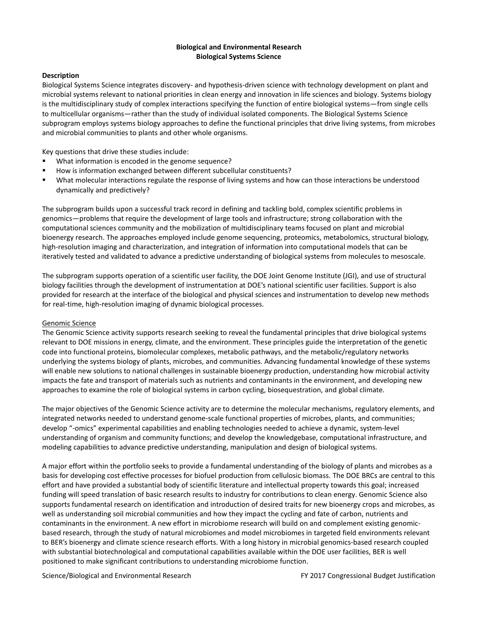# **Biological and Environmental Research Biological Systems Science**

## **Description**

Biological Systems Science integrates discovery- and hypothesis-driven science with technology development on plant and microbial systems relevant to national priorities in clean energy and innovation in life sciences and biology. Systems biology is the multidisciplinary study of complex interactions specifying the function of entire biological systems—from single cells to multicellular organisms—rather than the study of individual isolated components. The Biological Systems Science subprogram employs systems biology approaches to define the functional principles that drive living systems, from microbes and microbial communities to plants and other whole organisms.

Key questions that drive these studies include:

- What information is encoded in the genome sequence?
- How is information exchanged between different subcellular constituents?
- What molecular interactions regulate the response of living systems and how can those interactions be understood dynamically and predictively?

The subprogram builds upon a successful track record in defining and tackling bold, complex scientific problems in genomics—problems that require the development of large tools and infrastructure; strong collaboration with the computational sciences community and the mobilization of multidisciplinary teams focused on plant and microbial bioenergy research. The approaches employed include genome sequencing, proteomics, metabolomics, structural biology, high-resolution imaging and characterization, and integration of information into computational models that can be iteratively tested and validated to advance a predictive understanding of biological systems from molecules to mesoscale.

The subprogram supports operation of a scientific user facility, the DOE Joint Genome Institute (JGI), and use of structural biology facilities through the development of instrumentation at DOE's national scientific user facilities. Support is also provided for research at the interface of the biological and physical sciences and instrumentation to develop new methods for real-time, high-resolution imaging of dynamic biological processes.

## Genomic Science

The Genomic Science activity supports research seeking to reveal the fundamental principles that drive biological systems relevant to DOE missions in energy, climate, and the environment. These principles guide the interpretation of the genetic code into functional proteins, biomolecular complexes, metabolic pathways, and the metabolic/regulatory networks underlying the systems biology of plants, microbes, and communities. Advancing fundamental knowledge of these systems will enable new solutions to national challenges in sustainable bioenergy production, understanding how microbial activity impacts the fate and transport of materials such as nutrients and contaminants in the environment, and developing new approaches to examine the role of biological systems in carbon cycling, biosequestration, and global climate.

The major objectives of the Genomic Science activity are to determine the molecular mechanisms, regulatory elements, and integrated networks needed to understand genome-scale functional properties of microbes, plants, and communities; develop "-omics" experimental capabilities and enabling technologies needed to achieve a dynamic, system-level understanding of organism and community functions; and develop the knowledgebase, computational infrastructure, and modeling capabilities to advance predictive understanding, manipulation and design of biological systems.

A major effort within the portfolio seeks to provide a fundamental understanding of the biology of plants and microbes as a basis for developing cost effective processes for biofuel production from cellulosic biomass. The DOE BRCs are central to this effort and have provided a substantial body of scientific literature and intellectual property towards this goal; increased funding will speed translation of basic research results to industry for contributions to clean energy. Genomic Science also supports fundamental research on identification and introduction of desired traits for new bioenergy crops and microbes, as well as understanding soil microbial communities and how they impact the cycling and fate of carbon, nutrients and contaminants in the environment. A new effort in microbiome research will build on and complement existing genomicbased research, through the study of natural microbiomes and model microbiomes in targeted field environments relevant to BER's bioenergy and climate science research efforts. With a long history in microbial genomics-based research coupled with substantial biotechnological and computational capabilities available within the DOE user facilities, BER is well positioned to make significant contributions to understanding microbiome function.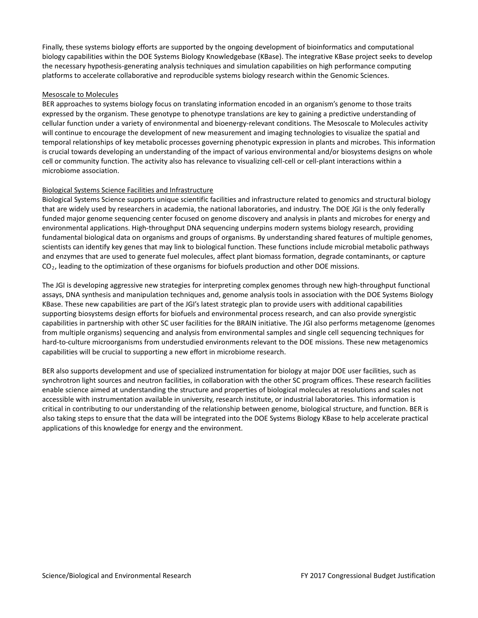Finally, these systems biology efforts are supported by the ongoing development of bioinformatics and computational biology capabilities within the DOE Systems Biology Knowledgebase (KBase). The integrative KBase project seeks to develop the necessary hypothesis-generating analysis techniques and simulation capabilities on high performance computing platforms to accelerate collaborative and reproducible systems biology research within the Genomic Sciences.

## Mesoscale to Molecules

BER approaches to systems biology focus on translating information encoded in an organism's genome to those traits expressed by the organism. These genotype to phenotype translations are key to gaining a predictive understanding of cellular function under a variety of environmental and bioenergy-relevant conditions. The Mesoscale to Molecules activity will continue to encourage the development of new measurement and imaging technologies to visualize the spatial and temporal relationships of key metabolic processes governing phenotypic expression in plants and microbes. This information is crucial towards developing an understanding of the impact of various environmental and/or biosystems designs on whole cell or community function. The activity also has relevance to visualizing cell-cell or cell-plant interactions within a microbiome association.

# Biological Systems Science Facilities and Infrastructure

Biological Systems Science supports unique scientific facilities and infrastructure related to genomics and structural biology that are widely used by researchers in academia, the national laboratories, and industry. The DOE JGI is the only federally funded major genome sequencing center focused on genome discovery and analysis in plants and microbes for energy and environmental applications. High-throughput DNA sequencing underpins modern systems biology research, providing fundamental biological data on organisms and groups of organisms. By understanding shared features of multiple genomes, scientists can identify key genes that may link to biological function. These functions include microbial metabolic pathways and enzymes that are used to generate fuel molecules, affect plant biomass formation, degrade contaminants, or capture CO<sub>2</sub>, leading to the optimization of these organisms for biofuels production and other DOE missions.

The JGI is developing aggressive new strategies for interpreting complex genomes through new high-throughput functional assays, DNA synthesis and manipulation techniques and, genome analysis tools in association with the DOE Systems Biology KBase. These new capabilities are part of the JGI's latest strategic plan to provide users with additional capabilities supporting biosystems design efforts for biofuels and environmental process research, and can also provide synergistic capabilities in partnership with other SC user facilities for the BRAIN initiative. The JGI also performs metagenome (genomes from multiple organisms) sequencing and analysis from environmental samples and single cell sequencing techniques for hard-to-culture microorganisms from understudied environments relevant to the DOE missions. These new metagenomics capabilities will be crucial to supporting a new effort in microbiome research.

BER also supports development and use of specialized instrumentation for biology at major DOE user facilities, such as synchrotron light sources and neutron facilities, in collaboration with the other SC program offices. These research facilities enable science aimed at understanding the structure and properties of biological molecules at resolutions and scales not accessible with instrumentation available in university, research institute, or industrial laboratories. This information is critical in contributing to our understanding of the relationship between genome, biological structure, and function. BER is also taking steps to ensure that the data will be integrated into the DOE Systems Biology KBase to help accelerate practical applications of this knowledge for energy and the environment.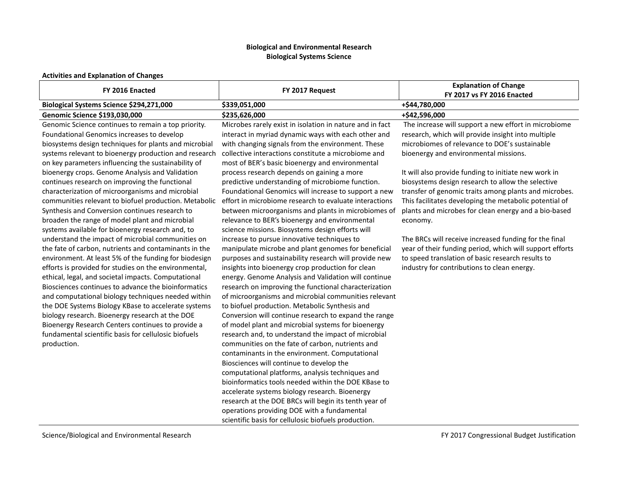# **Biological and Environmental Research Biological Systems Science**

# **Activities and Explanation of Changes**

| FY 2016 Enacted                                       | FY 2017 Request                                          | <b>Explanation of Change</b><br>FY 2017 vs FY 2016 Enacted |
|-------------------------------------------------------|----------------------------------------------------------|------------------------------------------------------------|
| Biological Systems Science \$294,271,000              | \$339,051,000                                            | +\$44,780,000                                              |
| Genomic Science \$193,030,000                         | \$235,626,000                                            | +\$42,596,000                                              |
| Genomic Science continues to remain a top priority.   | Microbes rarely exist in isolation in nature and in fact | The increase will support a new effort in microbiome       |
| Foundational Genomics increases to develop            | interact in myriad dynamic ways with each other and      | research, which will provide insight into multiple         |
| biosystems design techniques for plants and microbial | with changing signals from the environment. These        | microbiomes of relevance to DOE's sustainable              |
| systems relevant to bioenergy production and research | collective interactions constitute a microbiome and      | bioenergy and environmental missions.                      |
| on key parameters influencing the sustainability of   | most of BER's basic bioenergy and environmental          |                                                            |
| bioenergy crops. Genome Analysis and Validation       | process research depends on gaining a more               | It will also provide funding to initiate new work in       |
| continues research on improving the functional        | predictive understanding of microbiome function.         | biosystems design research to allow the selective          |
| characterization of microorganisms and microbial      | Foundational Genomics will increase to support a new     | transfer of genomic traits among plants and microbes.      |
| communities relevant to biofuel production. Metabolic | effort in microbiome research to evaluate interactions   | This facilitates developing the metabolic potential of     |
| Synthesis and Conversion continues research to        | between microorganisms and plants in microbiomes of      | plants and microbes for clean energy and a bio-based       |
| broaden the range of model plant and microbial        | relevance to BER's bioenergy and environmental           | economy.                                                   |
| systems available for bioenergy research and, to      | science missions. Biosystems design efforts will         |                                                            |
| understand the impact of microbial communities on     | increase to pursue innovative techniques to              | The BRCs will receive increased funding for the final      |
| the fate of carbon, nutrients and contaminants in the | manipulate microbe and plant genomes for beneficial      | year of their funding period, which will support efforts   |
| environment. At least 5% of the funding for biodesign | purposes and sustainability research will provide new    | to speed translation of basic research results to          |
| efforts is provided for studies on the environmental, | insights into bioenergy crop production for clean        | industry for contributions to clean energy.                |
| ethical, legal, and societal impacts. Computational   | energy. Genome Analysis and Validation will continue     |                                                            |
| Biosciences continues to advance the bioinformatics   | research on improving the functional characterization    |                                                            |
| and computational biology techniques needed within    | of microorganisms and microbial communities relevant     |                                                            |
| the DOE Systems Biology KBase to accelerate systems   | to biofuel production. Metabolic Synthesis and           |                                                            |
| biology research. Bioenergy research at the DOE       | Conversion will continue research to expand the range    |                                                            |
| Bioenergy Research Centers continues to provide a     | of model plant and microbial systems for bioenergy       |                                                            |
| fundamental scientific basis for cellulosic biofuels  | research and, to understand the impact of microbial      |                                                            |
| production.                                           | communities on the fate of carbon, nutrients and         |                                                            |
|                                                       | contaminants in the environment. Computational           |                                                            |
|                                                       | Biosciences will continue to develop the                 |                                                            |
|                                                       | computational platforms, analysis techniques and         |                                                            |
|                                                       | bioinformatics tools needed within the DOE KBase to      |                                                            |
|                                                       | accelerate systems biology research. Bioenergy           |                                                            |
|                                                       | research at the DOE BRCs will begin its tenth year of    |                                                            |
|                                                       | operations providing DOE with a fundamental              |                                                            |
|                                                       | scientific basis for cellulosic biofuels production.     |                                                            |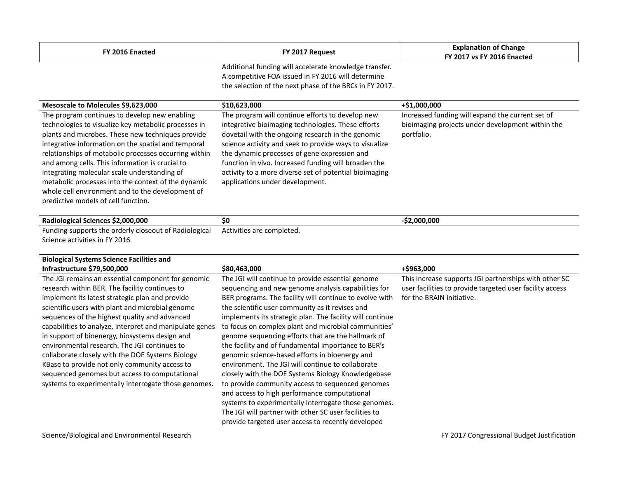| FY 2016 Enacted                                                                                                                                                                                                                                                                                                                                                                                                                                                                                                                 | FY 2017 Request                                                                                                                                                                                                                                                                                                                                                                                                            | <b>Explanation of Change</b><br><b>FY 2017 vs FY 2016 Enacted</b>                                                  |  |  |
|---------------------------------------------------------------------------------------------------------------------------------------------------------------------------------------------------------------------------------------------------------------------------------------------------------------------------------------------------------------------------------------------------------------------------------------------------------------------------------------------------------------------------------|----------------------------------------------------------------------------------------------------------------------------------------------------------------------------------------------------------------------------------------------------------------------------------------------------------------------------------------------------------------------------------------------------------------------------|--------------------------------------------------------------------------------------------------------------------|--|--|
|                                                                                                                                                                                                                                                                                                                                                                                                                                                                                                                                 | Additional funding will accelerate knowledge transfer.<br>A competitive FOA issued in FY 2016 will determine                                                                                                                                                                                                                                                                                                               |                                                                                                                    |  |  |
|                                                                                                                                                                                                                                                                                                                                                                                                                                                                                                                                 | the selection of the next phase of the BRCs in FY 2017.                                                                                                                                                                                                                                                                                                                                                                    |                                                                                                                    |  |  |
| Mesoscale to Molecules \$9,623,000                                                                                                                                                                                                                                                                                                                                                                                                                                                                                              | \$10,623,000                                                                                                                                                                                                                                                                                                                                                                                                               | +\$1,000,000                                                                                                       |  |  |
| The program continues to develop new enabling<br>technologies to visualize key metabolic processes in<br>plants and microbes. These new techniques provide<br>integrative information on the spatial and temporal<br>relationships of metabolic processes occurring within<br>and among cells. This information is crucial to<br>integrating molecular scale understanding of<br>metabolic processes into the context of the dynamic<br>whole cell environment and to the development of<br>predictive models of cell function. | The program will continue efforts to develop new<br>integrative bioimaging technologies. These efforts<br>dovetail with the ongoing research in the genomic<br>science activity and seek to provide ways to visualize<br>the dynamic processes of gene expression and<br>function in vivo. Increased funding will broaden the<br>activity to a more diverse set of potential bioimaging<br>applications under development. | Increased funding will expand the current set of<br>bioimaging projects under development within the<br>portfolio. |  |  |
| Radiological Sciences \$2,000,000                                                                                                                                                                                                                                                                                                                                                                                                                                                                                               | \$0                                                                                                                                                                                                                                                                                                                                                                                                                        | $-$2,000,000$                                                                                                      |  |  |
| Funding supports the orderly closeout of Radiological<br>Science activities in FY 2016.                                                                                                                                                                                                                                                                                                                                                                                                                                         | Activities are completed.                                                                                                                                                                                                                                                                                                                                                                                                  |                                                                                                                    |  |  |
| <b>Biological Systems Science Facilities and</b><br>Infrastructure \$79,500,000                                                                                                                                                                                                                                                                                                                                                                                                                                                 | \$80,463,000                                                                                                                                                                                                                                                                                                                                                                                                               | +\$963,000                                                                                                         |  |  |

The JGI remains an essential component for genomic research within BER. The facility continues to implement its latest strategic plan and provide scientific users with plant and microbial genome sequences of the highest quality and advanced capabilities to analyze, interpret and manipulate genes in support of bioenergy, biosystems design and environmental research. The JGI continues to collaborate closely with the DOE Systems Biology KBase to provide not only community access to sequenced genomes but access to computational systems to experimentally interrogate those genomes.

The JGI will continue to provide essential genome sequencing and new genome analysis capabilities for BER programs. The facility will continue to evolve with the scientific user community as it revises and implements its strategic plan. The facility will continue to focus on complex plant and microbial communities' genome sequencing efforts that are the hallmark of the facility and of fundamental importance to BER's genomic science-based efforts in bioenergy and environment. The JGI will continue to collaborate closely with the DOE Systems Biology Knowledgebase to provide community access to sequenced genomes and access to high performance computational systems to experimentally interrogate those genomes. The JGI will partner with other SC user facilities to provide targeted user access to recently developed

# This increase supports JGI partnerships with other SC user facilities to provide targeted user facility access for the BRAIN initiative.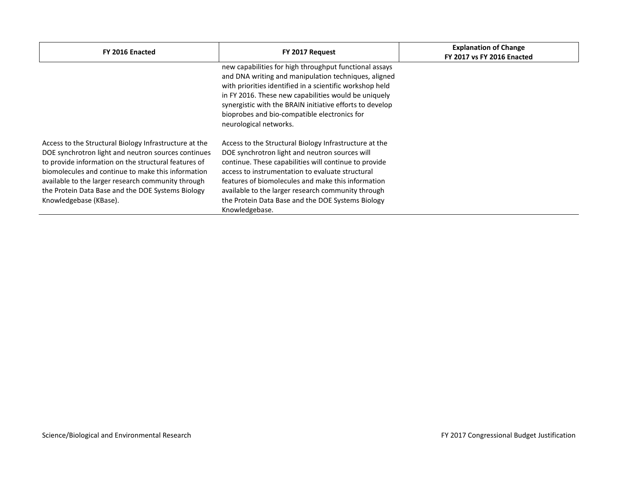| FY 2016 Enacted                                                                                                                                                                                                                                                                                                                                                  | FY 2017 Request                                                                                                                                                                                                                                                                                                                                                                                          | <b>Explanation of Change</b><br><b>FY 2017 vs FY 2016 Enacted</b> |
|------------------------------------------------------------------------------------------------------------------------------------------------------------------------------------------------------------------------------------------------------------------------------------------------------------------------------------------------------------------|----------------------------------------------------------------------------------------------------------------------------------------------------------------------------------------------------------------------------------------------------------------------------------------------------------------------------------------------------------------------------------------------------------|-------------------------------------------------------------------|
|                                                                                                                                                                                                                                                                                                                                                                  | new capabilities for high throughput functional assays<br>and DNA writing and manipulation techniques, aligned<br>with priorities identified in a scientific workshop held<br>in FY 2016. These new capabilities would be uniquely<br>synergistic with the BRAIN initiative efforts to develop<br>bioprobes and bio-compatible electronics for<br>neurological networks.                                 |                                                                   |
| Access to the Structural Biology Infrastructure at the<br>DOE synchrotron light and neutron sources continues<br>to provide information on the structural features of<br>biomolecules and continue to make this information<br>available to the larger research community through<br>the Protein Data Base and the DOE Systems Biology<br>Knowledgebase (KBase). | Access to the Structural Biology Infrastructure at the<br>DOE synchrotron light and neutron sources will<br>continue. These capabilities will continue to provide<br>access to instrumentation to evaluate structural<br>features of biomolecules and make this information<br>available to the larger research community through<br>the Protein Data Base and the DOE Systems Biology<br>Knowledgebase. |                                                                   |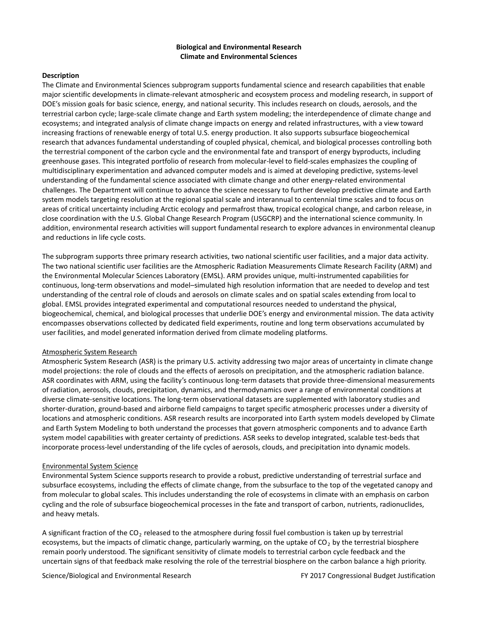## **Biological and Environmental Research Climate and Environmental Sciences**

## **Description**

The Climate and Environmental Sciences subprogram supports fundamental science and research capabilities that enable major scientific developments in climate-relevant atmospheric and ecosystem process and modeling research, in support of DOE's mission goals for basic science, energy, and national security. This includes research on clouds, aerosols, and the terrestrial carbon cycle; large-scale climate change and Earth system modeling; the interdependence of climate change and ecosystems; and integrated analysis of climate change impacts on energy and related infrastructures, with a view toward increasing fractions of renewable energy of total U.S. energy production. It also supports subsurface biogeochemical research that advances fundamental understanding of coupled physical, chemical, and biological processes controlling both the terrestrial component of the carbon cycle and the environmental fate and transport of energy byproducts, including greenhouse gases. This integrated portfolio of research from molecular-level to field-scales emphasizes the coupling of multidisciplinary experimentation and advanced computer models and is aimed at developing predictive, systems-level understanding of the fundamental science associated with climate change and other energy-related environmental challenges. The Department will continue to advance the science necessary to further develop predictive climate and Earth system models targeting resolution at the regional spatial scale and interannual to centennial time scales and to focus on areas of critical uncertainty including Arctic ecology and permafrost thaw, tropical ecological change, and carbon release, in close coordination with the U.S. Global Change Research Program (USGCRP) and the international science community. In addition, environmental research activities will support fundamental research to explore advances in environmental cleanup and reductions in life cycle costs.

The subprogram supports three primary research activities, two national scientific user facilities, and a major data activity. The two national scientific user facilities are the Atmospheric Radiation Measurements Climate Research Facility (ARM) and the Environmental Molecular Sciences Laboratory (EMSL). ARM provides unique, multi-instrumented capabilities for continuous, long-term observations and model–simulated high resolution information that are needed to develop and test understanding of the central role of clouds and aerosols on climate scales and on spatial scales extending from local to global. EMSL provides integrated experimental and computational resources needed to understand the physical, biogeochemical, chemical, and biological processes that underlie DOE's energy and environmental mission. The data activity encompasses observations collected by dedicated field experiments, routine and long term observations accumulated by user facilities, and model generated information derived from climate modeling platforms.

## Atmospheric System Research

Atmospheric System Research (ASR) is the primary U.S. activity addressing two major areas of uncertainty in climate change model projections: the role of clouds and the effects of aerosols on precipitation, and the atmospheric radiation balance. ASR coordinates with ARM, using the facility's continuous long-term datasets that provide three-dimensional measurements of radiation, aerosols, clouds, precipitation, dynamics, and thermodynamics over a range of environmental conditions at diverse climate-sensitive locations. The long-term observational datasets are supplemented with laboratory studies and shorter-duration, ground-based and airborne field campaigns to target specific atmospheric processes under a diversity of locations and atmospheric conditions. ASR research results are incorporated into Earth system models developed by Climate and Earth System Modeling to both understand the processes that govern atmospheric components and to advance Earth system model capabilities with greater certainty of predictions. ASR seeks to develop integrated, scalable test-beds that incorporate process-level understanding of the life cycles of aerosols, clouds, and precipitation into dynamic models.

## Environmental System Science

Environmental System Science supports research to provide a robust, predictive understanding of terrestrial surface and subsurface ecosystems, including the effects of climate change, from the subsurface to the top of the vegetated canopy and from molecular to global scales. This includes understanding the role of ecosystems in climate with an emphasis on carbon cycling and the role of subsurface biogeochemical processes in the fate and transport of carbon, nutrients, radionuclides, and heavy metals.

A significant fraction of the CO<sub>2</sub> released to the atmosphere during fossil fuel combustion is taken up by terrestrial ecosystems, but the impacts of climatic change, particularly warming, on the uptake of  $CO<sub>2</sub>$  by the terrestrial biosphere remain poorly understood. The significant sensitivity of climate models to terrestrial carbon cycle feedback and the uncertain signs of that feedback make resolving the role of the terrestrial biosphere on the carbon balance a high priority.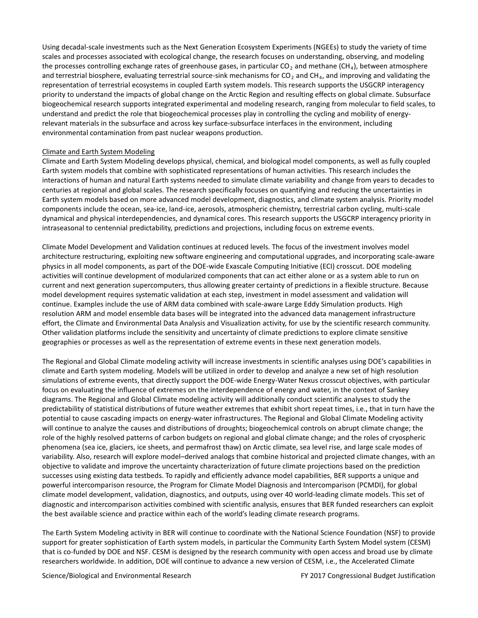Using decadal-scale investments such as the Next Generation Ecosystem Experiments (NGEEs) to study the variety of time scales and processes associated with ecological change, the research focuses on understanding, observing, and modeling the processes controlling exchange rates of greenhouse gases, in particular  $CO<sub>2</sub>$  and methane (CH<sub>4</sub>), between atmosphere and terrestrial biosphere, evaluating terrestrial source-sink mechanisms for  $CO<sub>2</sub>$  and CH<sub>4</sub>, and improving and validating the representation of terrestrial ecosystems in coupled Earth system models. This research supports the USGCRP interagency priority to understand the impacts of global change on the Arctic Region and resulting effects on global climate. Subsurface biogeochemical research supports integrated experimental and modeling research, ranging from molecular to field scales, to understand and predict the role that biogeochemical processes play in controlling the cycling and mobility of energyrelevant materials in the subsurface and across key surface-subsurface interfaces in the environment, including environmental contamination from past nuclear weapons production.

## Climate and Earth System Modeling

Climate and Earth System Modeling develops physical, chemical, and biological model components, as well as fully coupled Earth system models that combine with sophisticated representations of human activities. This research includes the interactions of human and natural Earth systems needed to simulate climate variability and change from years to decades to centuries at regional and global scales. The research specifically focuses on quantifying and reducing the uncertainties in Earth system models based on more advanced model development, diagnostics, and climate system analysis. Priority model components include the ocean, sea-ice, land-ice, aerosols, atmospheric chemistry, terrestrial carbon cycling, multi-scale dynamical and physical interdependencies, and dynamical cores. This research supports the USGCRP interagency priority in intraseasonal to centennial predictability, predictions and projections, including focus on extreme events.

Climate Model Development and Validation continues at reduced levels. The focus of the investment involves model architecture restructuring, exploiting new software engineering and computational upgrades, and incorporating scale-aware physics in all model components, as part of the DOE-wide Exascale Computing Initiative (ECI) crosscut. DOE modeling activities will continue development of modularized components that can act either alone or as a system able to run on current and next generation supercomputers, thus allowing greater certainty of predictions in a flexible structure. Because model development requires systematic validation at each step, investment in model assessment and validation will continue. Examples include the use of ARM data combined with scale-aware Large Eddy Simulation products. High resolution ARM and model ensemble data bases will be integrated into the advanced data management infrastructure effort, the Climate and Environmental Data Analysis and Visualization activity, for use by the scientific research community. Other validation platforms include the sensitivity and uncertainty of climate predictions to explore climate sensitive geographies or processes as well as the representation of extreme events in these next generation models.

The Regional and Global Climate modeling activity will increase investments in scientific analyses using DOE's capabilities in climate and Earth system modeling. Models will be utilized in order to develop and analyze a new set of high resolution simulations of extreme events, that directly support the DOE-wide Energy-Water Nexus crosscut objectives, with particular focus on evaluating the influence of extremes on the interdependence of energy and water, in the context of Sankey diagrams. The Regional and Global Climate modeling activity will additionally conduct scientific analyses to study the predictability of statistical distributions of future weather extremes that exhibit short repeat times, i.e., that in turn have the potential to cause cascading impacts on energy-water infrastructures. The Regional and Global Climate Modeling activity will continue to analyze the causes and distributions of droughts; biogeochemical controls on abrupt climate change; the role of the highly resolved patterns of carbon budgets on regional and global climate change; and the roles of cryospheric phenomena (sea ice, glaciers, ice sheets, and permafrost thaw) on Arctic climate, sea level rise, and large scale modes of variability. Also, research will explore model–derived analogs that combine historical and projected climate changes, with an objective to validate and improve the uncertainty characterization of future climate projections based on the prediction successes using existing data testbeds. To rapidly and efficiently advance model capabilities, BER supports a unique and powerful intercomparison resource, the Program for Climate Model Diagnosis and Intercomparison (PCMDI), for global climate model development, validation, diagnostics, and outputs, using over 40 world-leading climate models. This set of diagnostic and intercomparison activities combined with scientific analysis, ensures that BER funded researchers can exploit the best available science and practice within each of the world's leading climate research programs.

The Earth System Modeling activity in BER will continue to coordinate with the National Science Foundation (NSF) to provide support for greater sophistication of Earth system models, in particular the Community Earth System Model system (CESM) that is co-funded by DOE and NSF. CESM is designed by the research community with open access and broad use by climate researchers worldwide. In addition, DOE will continue to advance a new version of CESM, i.e., the Accelerated Climate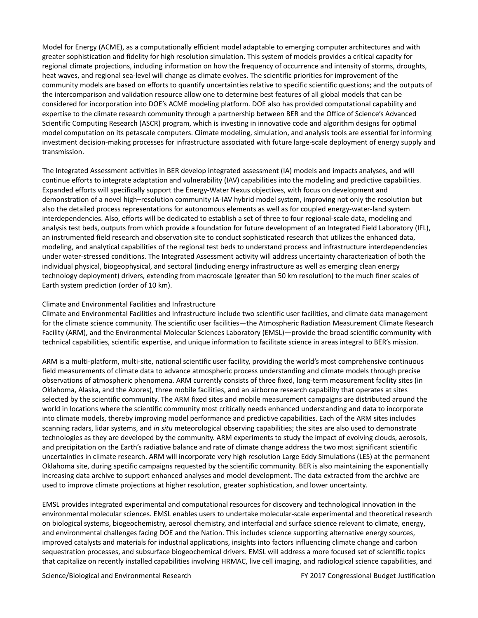Model for Energy (ACME), as a computationally efficient model adaptable to emerging computer architectures and with greater sophistication and fidelity for high resolution simulation. This system of models provides a critical capacity for regional climate projections, including information on how the frequency of occurrence and intensity of storms, droughts, heat waves, and regional sea-level will change as climate evolves. The scientific priorities for improvement of the community models are based on efforts to quantify uncertainties relative to specific scientific questions; and the outputs of the intercomparison and validation resource allow one to determine best features of all global models that can be considered for incorporation into DOE's ACME modeling platform. DOE also has provided computational capability and expertise to the climate research community through a partnership between BER and the Office of Science's Advanced Scientific Computing Research (ASCR) program, which is investing in innovative code and algorithm designs for optimal model computation on its petascale computers. Climate modeling, simulation, and analysis tools are essential for informing investment decision-making processes for infrastructure associated with future large-scale deployment of energy supply and transmission.

The Integrated Assessment activities in BER develop integrated assessment (IA) models and impacts analyses, and will continue efforts to integrate adaptation and vulnerability (IAV) capabilities into the modeling and predictive capabilities. Expanded efforts will specifically support the Energy-Water Nexus objectives, with focus on development and demonstration of a novel high–resolution community IA-IAV hybrid model system, improving not only the resolution but also the detailed process representations for autonomous elements as well as for coupled energy-water-land system interdependencies. Also, efforts will be dedicated to establish a set of three to four regional-scale data, modeling and analysis test beds, outputs from which provide a foundation for future development of an Integrated Field Laboratory (IFL), an instrumented field research and observation site to conduct sophisticated research that utilizes the enhanced data, modeling, and analytical capabilities of the regional test beds to understand process and infrastructure interdependencies under water-stressed conditions. The Integrated Assessment activity will address uncertainty characterization of both the individual physical, biogeophysical, and sectoral (including energy infrastructure as well as emerging clean energy technology deployment) drivers, extending from macroscale (greater than 50 km resolution) to the much finer scales of Earth system prediction (order of 10 km).

## Climate and Environmental Facilities and Infrastructure

Climate and Environmental Facilities and Infrastructure include two scientific user facilities, and climate data management for the climate science community. The scientific user facilities—the Atmospheric Radiation Measurement Climate Research Facility (ARM), and the Environmental Molecular Sciences Laboratory (EMSL)—provide the broad scientific community with technical capabilities, scientific expertise, and unique information to facilitate science in areas integral to BER's mission.

ARM is a multi-platform, multi-site, national scientific user facility, providing the world's most comprehensive continuous field measurements of climate data to advance atmospheric process understanding and climate models through precise observations of atmospheric phenomena. ARM currently consists of three fixed, long-term measurement facility sites (in Oklahoma, Alaska, and the Azores), three mobile facilities, and an airborne research capability that operates at sites selected by the scientific community. The ARM fixed sites and mobile measurement campaigns are distributed around the world in locations where the scientific community most critically needs enhanced understanding and data to incorporate into climate models, thereby improving model performance and predictive capabilities. Each of the ARM sites includes scanning radars, lidar systems, and *in situ* meteorological observing capabilities; the sites are also used to demonstrate technologies as they are developed by the community. ARM experiments to study the impact of evolving clouds, aerosols, and precipitation on the Earth's radiative balance and rate of climate change address the two most significant scientific uncertainties in climate research. ARM will incorporate very high resolution Large Eddy Simulations (LES) at the permanent Oklahoma site, during specific campaigns requested by the scientific community. BER is also maintaining the exponentially increasing data archive to support enhanced analyses and model development. The data extracted from the archive are used to improve climate projections at higher resolution, greater sophistication, and lower uncertainty.

EMSL provides integrated experimental and computational resources for discovery and technological innovation in the environmental molecular sciences. EMSL enables users to undertake molecular-scale experimental and theoretical research on biological systems, biogeochemistry, aerosol chemistry, and interfacial and surface science relevant to climate, energy, and environmental challenges facing DOE and the Nation. This includes science supporting alternative energy sources, improved catalysts and materials for industrial applications, insights into factors influencing climate change and carbon sequestration processes, and subsurface biogeochemical drivers. EMSL will address a more focused set of scientific topics that capitalize on recently installed capabilities involving HRMAC, live cell imaging, and radiological science capabilities, and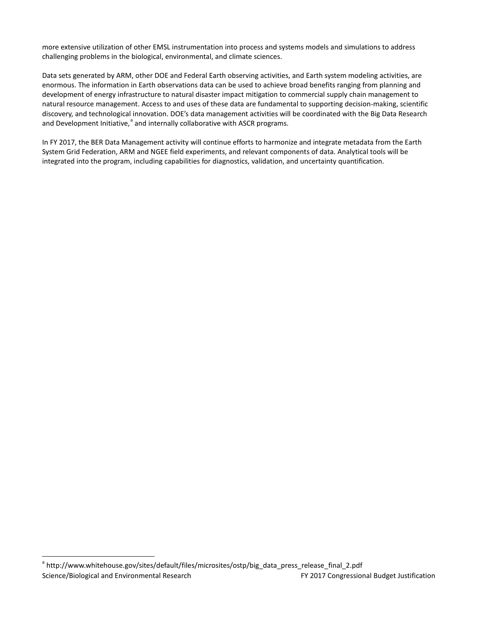more extensive utilization of other EMSL instrumentation into process and systems models and simulations to address challenging problems in the biological, environmental, and climate sciences.

Data sets generated by ARM, other DOE and Federal Earth observing activities, and Earth system modeling activities, are enormous. The information in Earth observations data can be used to achieve broad benefits ranging from planning and development of energy infrastructure to natural disaster impact mitigation to commercial supply chain management to natural resource management. Access to and uses of these data are fundamental to supporting decision-making, scientific discovery, and technological innovation. DOE's data management activities will be coordinated with the Big Data Research [a](#page-16-0)nd Development Initiative,<sup>a</sup> and internally collaborative with ASCR programs.

In FY 2017, the BER Data Management activity will continue efforts to harmonize and integrate metadata from the Earth System Grid Federation, ARM and NGEE field experiments, and relevant components of data. Analytical tools will be integrated into the program, including capabilities for diagnostics, validation, and uncertainty quantification.

<span id="page-16-0"></span>Science/Biological and Environmental Research **FY 2017** Congressional Budget Justification <sup>a</sup> [http://www.whitehouse.gov/sites/default/files/microsites/ostp/big\\_](http://www.whitehouse.gov/sites/default/files/microsites/ostp/big)data\_press\_release\_final\_2.pdf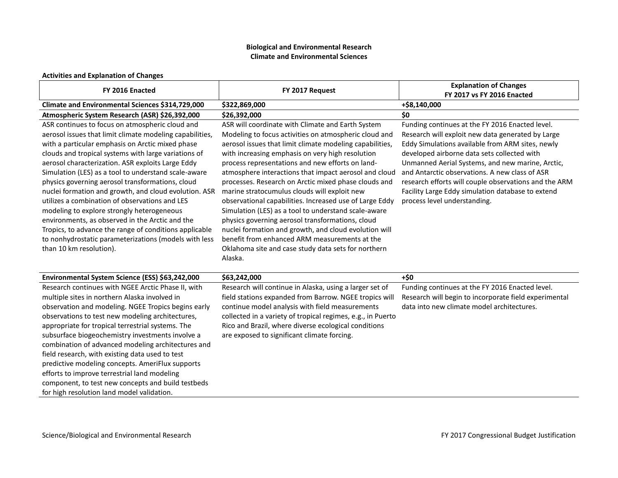## **Biological and Environmental Research Climate and Environmental Sciences**

## **Activities and Explanation of Changes**

| FY 2016 Enacted                                                                                                                                                                                                                                                                                                                                                                                                                                                                                                                                                                                                                                                                                                                                    | FY 2017 Request                                                                                                                                                                                                                                                                                                                                                                                                                                                                                                                                                                                                                                                                                                                                                                                    | <b>Explanation of Changes</b><br>FY 2017 vs FY 2016 Enacted                                                                                                                                                                                                                                                                                                                                                                                                 |
|----------------------------------------------------------------------------------------------------------------------------------------------------------------------------------------------------------------------------------------------------------------------------------------------------------------------------------------------------------------------------------------------------------------------------------------------------------------------------------------------------------------------------------------------------------------------------------------------------------------------------------------------------------------------------------------------------------------------------------------------------|----------------------------------------------------------------------------------------------------------------------------------------------------------------------------------------------------------------------------------------------------------------------------------------------------------------------------------------------------------------------------------------------------------------------------------------------------------------------------------------------------------------------------------------------------------------------------------------------------------------------------------------------------------------------------------------------------------------------------------------------------------------------------------------------------|-------------------------------------------------------------------------------------------------------------------------------------------------------------------------------------------------------------------------------------------------------------------------------------------------------------------------------------------------------------------------------------------------------------------------------------------------------------|
| Climate and Environmental Sciences \$314,729,000                                                                                                                                                                                                                                                                                                                                                                                                                                                                                                                                                                                                                                                                                                   | \$322,869,000                                                                                                                                                                                                                                                                                                                                                                                                                                                                                                                                                                                                                                                                                                                                                                                      | +\$8,140,000                                                                                                                                                                                                                                                                                                                                                                                                                                                |
| Atmospheric System Research (ASR) \$26,392,000                                                                                                                                                                                                                                                                                                                                                                                                                                                                                                                                                                                                                                                                                                     | \$26,392,000                                                                                                                                                                                                                                                                                                                                                                                                                                                                                                                                                                                                                                                                                                                                                                                       | \$0                                                                                                                                                                                                                                                                                                                                                                                                                                                         |
| ASR continues to focus on atmospheric cloud and<br>aerosol issues that limit climate modeling capabilities,<br>with a particular emphasis on Arctic mixed phase<br>clouds and tropical systems with large variations of<br>aerosol characterization. ASR exploits Large Eddy<br>Simulation (LES) as a tool to understand scale-aware<br>physics governing aerosol transformations, cloud<br>nuclei formation and growth, and cloud evolution. ASR<br>utilizes a combination of observations and LES<br>modeling to explore strongly heterogeneous<br>environments, as observed in the Arctic and the<br>Tropics, to advance the range of conditions applicable<br>to nonhydrostatic parameterizations (models with less<br>than 10 km resolution). | ASR will coordinate with Climate and Earth System<br>Modeling to focus activities on atmospheric cloud and<br>aerosol issues that limit climate modeling capabilities,<br>with increasing emphasis on very high resolution<br>process representations and new efforts on land-<br>atmosphere interactions that impact aerosol and cloud<br>processes. Research on Arctic mixed phase clouds and<br>marine stratocumulus clouds will exploit new<br>observational capabilities. Increased use of Large Eddy<br>Simulation (LES) as a tool to understand scale-aware<br>physics governing aerosol transformations, cloud<br>nuclei formation and growth, and cloud evolution will<br>benefit from enhanced ARM measurements at the<br>Oklahoma site and case study data sets for northern<br>Alaska. | Funding continues at the FY 2016 Enacted level.<br>Research will exploit new data generated by Large<br>Eddy Simulations available from ARM sites, newly<br>developed airborne data sets collected with<br>Unmanned Aerial Systems, and new marine, Arctic,<br>and Antarctic observations. A new class of ASR<br>research efforts will couple observations and the ARM<br>Facility Large Eddy simulation database to extend<br>process level understanding. |
| Environmental System Science (ESS) \$63,242,000                                                                                                                                                                                                                                                                                                                                                                                                                                                                                                                                                                                                                                                                                                    | \$63,242,000                                                                                                                                                                                                                                                                                                                                                                                                                                                                                                                                                                                                                                                                                                                                                                                       | $+50$                                                                                                                                                                                                                                                                                                                                                                                                                                                       |
| Research continues with NGEE Arctic Phase II, with<br>multiple sites in northern Alaska involved in<br>observation and modeling. NGEE Tropics begins early<br>observations to test new modeling architectures,<br>appropriate for tropical terrestrial systems. The<br>subsurface biogeochemistry investments involve a<br>combination of advanced modeling architectures and<br>field research, with existing data used to test<br>predictive modeling concepts. AmeriFlux supports<br>efforts to improve terrestrial land modeling<br>component, to test new concepts and build testbeds<br>for high resolution land model validation.                                                                                                           | Research will continue in Alaska, using a larger set of<br>field stations expanded from Barrow. NGEE tropics will<br>continue model analysis with field measurements<br>collected in a variety of tropical regimes, e.g., in Puerto<br>Rico and Brazil, where diverse ecological conditions<br>are exposed to significant climate forcing.                                                                                                                                                                                                                                                                                                                                                                                                                                                         | Funding continues at the FY 2016 Enacted level.<br>Research will begin to incorporate field experimental<br>data into new climate model architectures.                                                                                                                                                                                                                                                                                                      |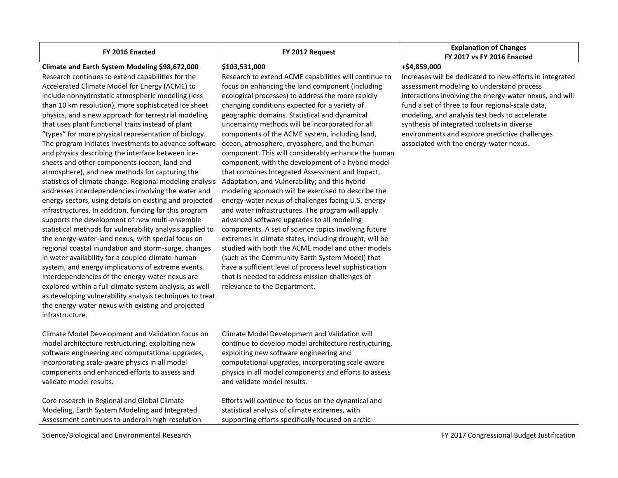| FY 2016 Enacted                                                                                                                                                                                                                                                                                                                                                                                                                                                                                                                                                                                                                                                                                                                                                                                                                                                                                                                                                                                                                                                                                                                                                                                                                                                                                                                                                                                                                           | FY 2017 Request                                                                                                                                                                                                                                                                                                                                                                                                                                                                                                                                                                                                                                                                                                                                                                                                                                                                                                                                                                                                                                                                                                                                                                                                                  | <b>Explanation of Changes</b><br>FY 2017 vs FY 2016 Enacted                                                                                                                                                                                                                                                                                                                                                        |
|-------------------------------------------------------------------------------------------------------------------------------------------------------------------------------------------------------------------------------------------------------------------------------------------------------------------------------------------------------------------------------------------------------------------------------------------------------------------------------------------------------------------------------------------------------------------------------------------------------------------------------------------------------------------------------------------------------------------------------------------------------------------------------------------------------------------------------------------------------------------------------------------------------------------------------------------------------------------------------------------------------------------------------------------------------------------------------------------------------------------------------------------------------------------------------------------------------------------------------------------------------------------------------------------------------------------------------------------------------------------------------------------------------------------------------------------|----------------------------------------------------------------------------------------------------------------------------------------------------------------------------------------------------------------------------------------------------------------------------------------------------------------------------------------------------------------------------------------------------------------------------------------------------------------------------------------------------------------------------------------------------------------------------------------------------------------------------------------------------------------------------------------------------------------------------------------------------------------------------------------------------------------------------------------------------------------------------------------------------------------------------------------------------------------------------------------------------------------------------------------------------------------------------------------------------------------------------------------------------------------------------------------------------------------------------------|--------------------------------------------------------------------------------------------------------------------------------------------------------------------------------------------------------------------------------------------------------------------------------------------------------------------------------------------------------------------------------------------------------------------|
| Climate and Earth System Modeling \$98,672,000                                                                                                                                                                                                                                                                                                                                                                                                                                                                                                                                                                                                                                                                                                                                                                                                                                                                                                                                                                                                                                                                                                                                                                                                                                                                                                                                                                                            | \$103,531,000                                                                                                                                                                                                                                                                                                                                                                                                                                                                                                                                                                                                                                                                                                                                                                                                                                                                                                                                                                                                                                                                                                                                                                                                                    | +\$4,859,000                                                                                                                                                                                                                                                                                                                                                                                                       |
| Research continues to extend capabilities for the<br>Accelerated Climate Model for Energy (ACME) to<br>include nonhydrostatic atmospheric modeling (less<br>than 10 km resolution), more sophisticated ice sheet<br>physics, and a new approach for terrestrial modeling<br>that uses plant functional traits instead of plant<br>"types" for more physical representation of biology.<br>The program initiates investments to advance software<br>and physics describing the interface between ice-<br>sheets and other components (ocean, land and<br>atmosphere), and new methods for capturing the<br>statistics of climate change. Regional modeling analysis<br>addresses interdependencies involving the water and<br>energy sectors, using details on existing and projected<br>infrastructures. In addition, funding for this program<br>supports the development of new multi-ensemble<br>statistical methods for vulnerability analysis applied to<br>the energy-water-land nexus, with special focus on<br>regional coastal inundation and storm-surge, changes<br>in water availability for a coupled climate-human<br>system, and energy implications of extreme events.<br>Interdependencies of the energy-water nexus are<br>explored within a full climate system analysis, as well<br>as developing vulnerability analysis techniques to treat<br>the energy-water nexus with existing and projected<br>infrastructure. | Research to extend ACME capabilities will continue to<br>focus on enhancing the land component (including<br>ecological processes) to address the more rapidly<br>changing conditions expected for a variety of<br>geographic domains. Statistical and dynamical<br>uncertainty methods will be incorporated for all<br>components of the ACME system, including land,<br>ocean, atmosphere, cryosphere, and the human<br>component. This will considerably enhance the human<br>component, with the development of a hybrid model<br>that combines Integrated Assessment and Impact,<br>Adaptation, and Vulnerability; and this hybrid<br>modeling approach will be exercised to describe the<br>energy-water nexus of challenges facing U.S. energy<br>and water infrastructures. The program will apply<br>advanced software upgrades to all modeling<br>components. A set of science topics involving future<br>extremes in climate states, including drought, will be<br>studied with both the ACME model and other models<br>(such as the Community Earth System Model) that<br>have a sufficient level of process level sophistication<br>that is needed to address mission challenges of<br>relevance to the Department. | Increases will be dedicated to new efforts in integrated<br>assessment modeling to understand process<br>interactions involving the energy-water nexus, and will<br>fund a set of three to four regional-scale data,<br>modeling, and analysis test beds to accelerate<br>synthesis of integrated toolsets in diverse<br>environments and explore predictive challenges<br>associated with the energy-water nexus. |
| Climate Model Development and Validation focus on<br>model architecture restructuring, exploiting new<br>software engineering and computational upgrades,<br>incorporating scale-aware physics in all model<br>components and enhanced efforts to assess and<br>validate model results.<br>Core research in Regional and Global Climate<br>Modeling, Earth System Modeling and Integrated<br>Assessment continues to underpin high-resolution                                                                                                                                                                                                                                                                                                                                                                                                                                                                                                                                                                                                                                                                                                                                                                                                                                                                                                                                                                                             | Climate Model Development and Validation will<br>continue to develop model architecture restructuring,<br>exploiting new software engineering and<br>computational upgrades, incorporating scale-aware<br>physics in all model components and efforts to assess<br>and validate model results.<br>Efforts will continue to focus on the dynamical and<br>statistical analysis of climate extremes, with<br>supporting efforts specifically focused on arctic-                                                                                                                                                                                                                                                                                                                                                                                                                                                                                                                                                                                                                                                                                                                                                                    |                                                                                                                                                                                                                                                                                                                                                                                                                    |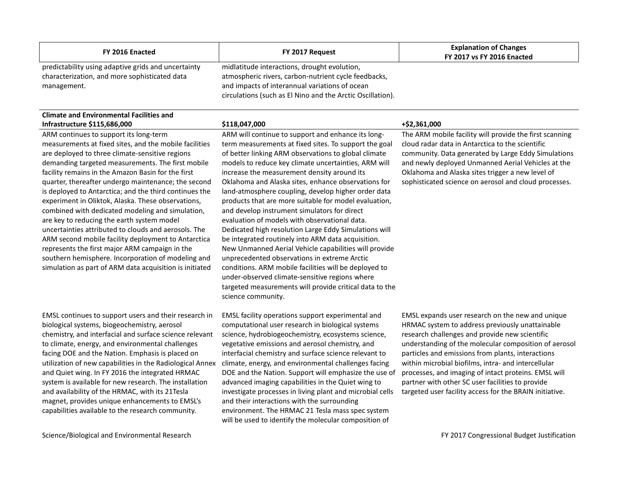| FY 2016 Enacted                                                                                                     | FY 2017 Request                                                                                                                                                                                                      | <b>Explanation of Changes</b><br><b>FY 2017 vs FY 2016 Enacted</b> |
|---------------------------------------------------------------------------------------------------------------------|----------------------------------------------------------------------------------------------------------------------------------------------------------------------------------------------------------------------|--------------------------------------------------------------------|
| predictability using adaptive grids and uncertainty<br>characterization, and more sophisticated data<br>management. | midlatitude interactions, drought evolution,<br>atmospheric rivers, carbon-nutrient cycle feedbacks,<br>and impacts of interannual variations of ocean<br>circulations (such as El Nino and the Arctic Oscillation). |                                                                    |

#### **Climate and Environmental Facilities and Infrastructure \$115,686,000 \$118,047,000 +\$2,361,000**

ARM continues to support its long-term measurements at fixed sites, and the mobile facilities are deployed to three climate-sensitive regions demanding targeted measurements. The first mobile facility remains in the Amazon Basin for the first quarter, thereafter undergo maintenance; the second is deployed to Antarctica; and the third continues the experiment in Oliktok, Alaska. These observations, combined with dedicated modeling and simulation, are key to reducing the earth system model uncertainties attributed to clouds and aerosols. The ARM second mobile facility deployment to Antarctica represents the first major ARM campaign in the southern hemisphere. Incorporation of modeling and simulation as part of ARM data acquisition is initiated

EMSL continues to support users and their research in biological systems, biogeochemistry, aerosol chemistry, and interfacial and surface science relevant to climate, energy, and environmental challenges facing DOE and the Nation. Emphasis is placed on utilization of new capabilities in the Radiological Annex and Quiet wing. In FY 2016 the integrated HRMAC system is available for new research. The installation and availability of the HRMAC, with its 21Tesla magnet, provides unique enhancements to EMSL's capabilities available to the research community.

Science/Biological and Environmental Research **FY 2017** Congressional Budget Justification

ARM will continue to support and enhance its longterm measurements at fixed sites. To support the goal of better linking ARM observations to global climate models to reduce key climate uncertainties, ARM will increase the measurement density around its Oklahoma and Alaska sites, enhance observations for land-atmosphere coupling, develop higher order data products that are more suitable for model evaluation, and develop instrument simulators for direct evaluation of models with observational data. Dedicated high resolution Large Eddy Simulations will be integrated routinely into ARM data acquisition. New Unmanned Aerial Vehicle capabilities will provide unprecedented observations in extreme Arctic conditions. ARM mobile facilities will be deployed to under-observed climate-sensitive regions where targeted measurements will provide critical data to the science community.

EMSL facility operations support experimental and computational user research in biological systems science, hydrobiogeochemistry, ecosystems science, vegetative emissions and aerosol chemistry, and interfacial chemistry and surface science relevant to climate, energy, and environmental challenges facing DOE and the Nation. Support will emphasize the use of advanced imaging capabilities in the Quiet wing to investigate processes in living plant and microbial cells and their interactions with the surrounding environment. The HRMAC 21 Tesla mass spec system will be used to identify the molecular composition of

The ARM mobile facility will provide the first scanning cloud radar data in Antarctica to the scientific community. Data generated by Large Eddy Simulations and newly deployed Unmanned Aerial Vehicles at the Oklahoma and Alaska sites trigger a new level of sophisticated science on aerosol and cloud processes.

EMSL expands user research on the new and unique HRMAC system to address previously unattainable research challenges and provide new scientific understanding of the molecular composition of aerosol particles and emissions from plants, interactions within microbial biofilms, intra- and intercellular processes, and imaging of intact proteins. EMSL will partner with other SC user facilities to provide targeted user facility access for the BRAIN initiative.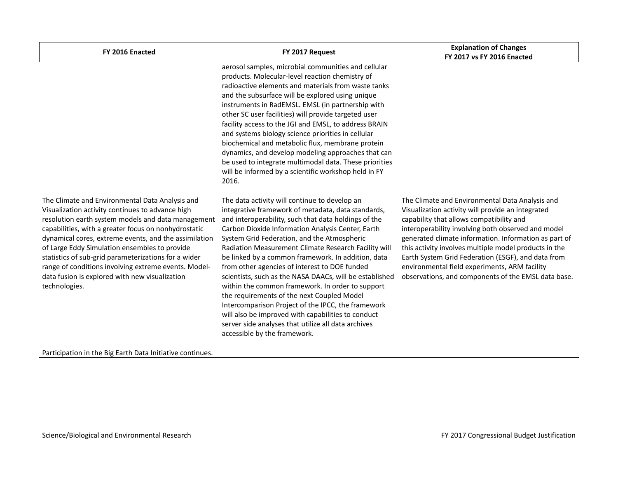| FY 2016 Enacted                                                                                                                                                                                                                                                                                                                                                                                                                                                                                                | FY 2017 Request                                                                                                                                                                                                                                                                                                                                                                                                                                                                                                                                                                                                                                                                                                                                                                                | <b>Explanation of Changes</b><br>FY 2017 vs FY 2016 Enacted                                                                                                                                                                                                                                                                                                                                                                                                                            |  |  |
|----------------------------------------------------------------------------------------------------------------------------------------------------------------------------------------------------------------------------------------------------------------------------------------------------------------------------------------------------------------------------------------------------------------------------------------------------------------------------------------------------------------|------------------------------------------------------------------------------------------------------------------------------------------------------------------------------------------------------------------------------------------------------------------------------------------------------------------------------------------------------------------------------------------------------------------------------------------------------------------------------------------------------------------------------------------------------------------------------------------------------------------------------------------------------------------------------------------------------------------------------------------------------------------------------------------------|----------------------------------------------------------------------------------------------------------------------------------------------------------------------------------------------------------------------------------------------------------------------------------------------------------------------------------------------------------------------------------------------------------------------------------------------------------------------------------------|--|--|
|                                                                                                                                                                                                                                                                                                                                                                                                                                                                                                                | aerosol samples, microbial communities and cellular<br>products. Molecular-level reaction chemistry of<br>radioactive elements and materials from waste tanks<br>and the subsurface will be explored using unique<br>instruments in RadEMSL. EMSL (in partnership with<br>other SC user facilities) will provide targeted user<br>facility access to the JGI and EMSL, to address BRAIN<br>and systems biology science priorities in cellular<br>biochemical and metabolic flux, membrane protein<br>dynamics, and develop modeling approaches that can<br>be used to integrate multimodal data. These priorities<br>will be informed by a scientific workshop held in FY<br>2016.                                                                                                             |                                                                                                                                                                                                                                                                                                                                                                                                                                                                                        |  |  |
| The Climate and Environmental Data Analysis and<br>Visualization activity continues to advance high<br>resolution earth system models and data management<br>capabilities, with a greater focus on nonhydrostatic<br>dynamical cores, extreme events, and the assimilation<br>of Large Eddy Simulation ensembles to provide<br>statistics of sub-grid parameterizations for a wider<br>range of conditions involving extreme events. Model-<br>data fusion is explored with new visualization<br>technologies. | The data activity will continue to develop an<br>integrative framework of metadata, data standards,<br>and interoperability, such that data holdings of the<br>Carbon Dioxide Information Analysis Center, Earth<br>System Grid Federation, and the Atmospheric<br>Radiation Measurement Climate Research Facility will<br>be linked by a common framework. In addition, data<br>from other agencies of interest to DOE funded<br>scientists, such as the NASA DAACs, will be established<br>within the common framework. In order to support<br>the requirements of the next Coupled Model<br>Intercomparison Project of the IPCC, the framework<br>will also be improved with capabilities to conduct<br>server side analyses that utilize all data archives<br>accessible by the framework. | The Climate and Environmental Data Analysis and<br>Visualization activity will provide an integrated<br>capability that allows compatibility and<br>interoperability involving both observed and model<br>generated climate information. Information as part of<br>this activity involves multiple model products in the<br>Earth System Grid Federation (ESGF), and data from<br>environmental field experiments, ARM facility<br>observations, and components of the EMSL data base. |  |  |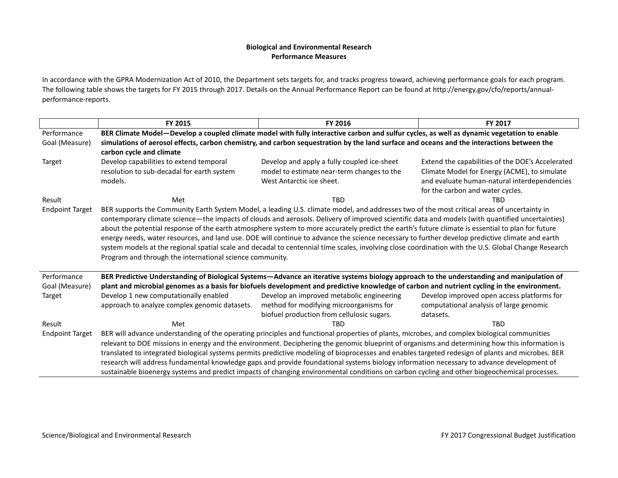## **Biological and Environmental Research Performance Measures**

In accordance with the GPRA Modernization Act of 2010, the Department sets targets for, and tracks progress toward, achieving performance goals for each program. The following table shows the targets for FY 2015 through 2017. Details on the Annual Performance Report can be found a[t http://energy.gov/cfo/reports/annual](http://energy.gov/cfo/reports/annual-performance-reports)[performance-reports.](http://energy.gov/cfo/reports/annual-performance-reports)

|                        | FY 2015                                                                                                                                      | FY 2016                                                                                                                                              | FY 2017                                          |  |  |  |  |
|------------------------|----------------------------------------------------------------------------------------------------------------------------------------------|------------------------------------------------------------------------------------------------------------------------------------------------------|--------------------------------------------------|--|--|--|--|
| Performance            | BER Climate Model-Develop a coupled climate model with fully interactive carbon and sulfur cycles, as well as dynamic vegetation to enable   |                                                                                                                                                      |                                                  |  |  |  |  |
| Goal (Measure)         | simulations of aerosol effects, carbon chemistry, and carbon sequestration by the land surface and oceans and the interactions between the   |                                                                                                                                                      |                                                  |  |  |  |  |
|                        | carbon cycle and climate                                                                                                                     |                                                                                                                                                      |                                                  |  |  |  |  |
| Target                 | Develop capabilities to extend temporal                                                                                                      | Develop and apply a fully coupled ice-sheet                                                                                                          | Extend the capabilities of the DOE's Accelerated |  |  |  |  |
|                        | resolution to sub-decadal for earth system                                                                                                   | model to estimate near-term changes to the                                                                                                           | Climate Model for Energy (ACME), to simulate     |  |  |  |  |
|                        | models.                                                                                                                                      | West Antarctic ice sheet.                                                                                                                            | and evaluate human-natural interdependencies     |  |  |  |  |
| Result                 | Met                                                                                                                                          | <b>TBD</b>                                                                                                                                           | for the carbon and water cycles.<br><b>TBD</b>   |  |  |  |  |
| <b>Endpoint Target</b> |                                                                                                                                              | BER supports the Community Earth System Model, a leading U.S. climate model, and addresses two of the most critical areas of uncertainty in          |                                                  |  |  |  |  |
|                        |                                                                                                                                              | contemporary climate science—the impacts of clouds and aerosols. Delivery of improved scientific data and models (with quantified uncertainties)     |                                                  |  |  |  |  |
|                        |                                                                                                                                              | about the potential response of the earth atmosphere system to more accurately predict the earth's future climate is essential to plan for future    |                                                  |  |  |  |  |
|                        |                                                                                                                                              | energy needs, water resources, and land use. DOE will continue to advance the science necessary to further develop predictive climate and earth      |                                                  |  |  |  |  |
|                        |                                                                                                                                              | system models at the regional spatial scale and decadal to centennial time scales, involving close coordination with the U.S. Global Change Research |                                                  |  |  |  |  |
|                        | Program and through the international science community.                                                                                     |                                                                                                                                                      |                                                  |  |  |  |  |
| Performance            |                                                                                                                                              | BER Predictive Understanding of Biological Systems-Advance an iterative systems biology approach to the understanding and manipulation of            |                                                  |  |  |  |  |
| Goal (Measure)         |                                                                                                                                              | plant and microbial genomes as a basis for biofuels development and predictive knowledge of carbon and nutrient cycling in the environment.          |                                                  |  |  |  |  |
| Target                 | Develop 1 new computationally enabled                                                                                                        | Develop an improved metabolic engineering                                                                                                            | Develop improved open access platforms for       |  |  |  |  |
|                        | approach to analyze complex genomic datasets.                                                                                                | method for modifying microorganisms for                                                                                                              | computational analysis of large genomic          |  |  |  |  |
|                        |                                                                                                                                              | biofuel production from cellulosic sugars.                                                                                                           | datasets.                                        |  |  |  |  |
| Result                 | Met                                                                                                                                          | <b>TBD</b>                                                                                                                                           | <b>TBD</b>                                       |  |  |  |  |
| <b>Endpoint Target</b> |                                                                                                                                              | BER will advance understanding of the operating principles and functional properties of plants, microbes, and complex biological communities         |                                                  |  |  |  |  |
|                        |                                                                                                                                              | relevant to DOE missions in energy and the environment. Deciphering the genomic blueprint of organisms and determining how this information is       |                                                  |  |  |  |  |
|                        |                                                                                                                                              | translated to integrated biological systems permits predictive modeling of bioprocesses and enables targeted redesign of plants and microbes. BER    |                                                  |  |  |  |  |
|                        |                                                                                                                                              | research will address fundamental knowledge gaps and provide foundational systems biology information necessary to advance development of            |                                                  |  |  |  |  |
|                        | sustainable bioenergy systems and predict impacts of changing environmental conditions on carbon cycling and other biogeochemical processes. |                                                                                                                                                      |                                                  |  |  |  |  |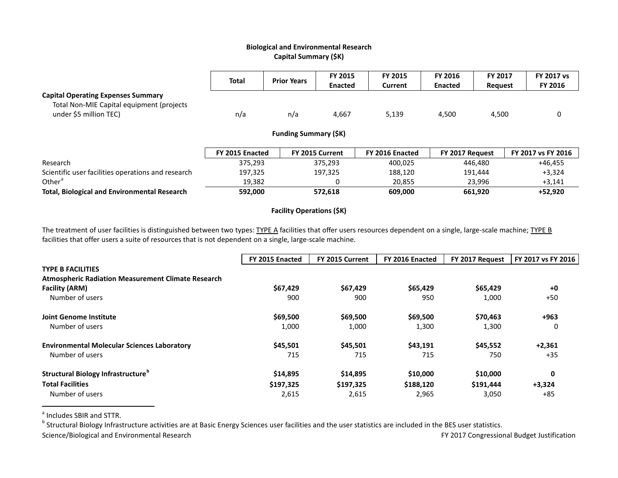# <span id="page-22-1"></span><span id="page-22-0"></span>**Biological and Environmental Research Capital Summary (\$K)**

|                                                                                                                  | <b>Total</b>    | <b>Prior Years</b>          | FY 2015<br><b>Enacted</b> | <b>FY 2015</b><br>Current | <b>FY 2016</b><br><b>Enacted</b> | FY 2017<br><b>Request</b> | <b>FY 2017 vs</b><br>FY 2016 |
|------------------------------------------------------------------------------------------------------------------|-----------------|-----------------------------|---------------------------|---------------------------|----------------------------------|---------------------------|------------------------------|
| <b>Capital Operating Expenses Summary</b><br>Total Non-MIE Capital equipment (projects<br>under \$5 million TEC) | n/a             | n/a                         | 4,667                     | 5,139                     | 4,500                            | 4,500                     | 0                            |
|                                                                                                                  |                 | <b>Funding Summary (SK)</b> |                           |                           |                                  |                           |                              |
|                                                                                                                  | FY 2015 Enacted |                             | FY 2015 Current           | FY 2016 Enacted           | FY 2017 Request                  |                           | FY 2017 vs FY 2016           |
| Research                                                                                                         | 375.293         |                             | 375.293                   | 400,025                   |                                  | 446.480                   | $+46.455$                    |
| Scientific user facilities operations and research                                                               | 197,325         |                             | 197,325                   | 188.120                   |                                  | 191.444                   | $+3,324$                     |
| Other <sup>a</sup>                                                                                               | 19,382          |                             | 0                         | 20,855                    |                                  | 23,996                    | $+3,141$                     |
| <b>Total, Biological and Environmental Research</b>                                                              | 592,000         |                             | 572.618                   | 609,000                   |                                  | 661,920                   | +52.920                      |

# **Facility Operations (\$K)**

The treatment of user facilities is distinguished between two types: TYPE A facilities that offer users resources dependent on a single, large-scale machine; TYPE B facilities that offer users a suite of resources that is not dependent on a single, large-scale machine.

|                                                           | FY 2015 Enacted | FY 2015 Current | FY 2016 Enacted | FY 2017 Request | FY 2017 vs FY 2016 |
|-----------------------------------------------------------|-----------------|-----------------|-----------------|-----------------|--------------------|
| <b>TYPE B FACILITIES</b>                                  |                 |                 |                 |                 |                    |
| <b>Atmospheric Radiation Measurement Climate Research</b> |                 |                 |                 |                 |                    |
| <b>Facility (ARM)</b>                                     | \$67,429        | \$67.429        | \$65,429        | \$65,429        | $+0$               |
| Number of users                                           | 900             | 900             | 950             | 1,000           | $+50$              |
| <b>Joint Genome Institute</b>                             | \$69,500        | \$69,500        | \$69,500        | \$70,463        | $+963$             |
| Number of users                                           | 1,000           | 1,000           | 1,300           | 1,300           | 0                  |
| <b>Environmental Molecular Sciences Laboratory</b>        | \$45,501        | \$45,501        | \$43,191        | \$45,552        | $+2,361$           |
| Number of users                                           | 715             | 715             | 715             | 750             | $+35$              |
| <b>Structural Biology Infrastructure</b> <sup>o</sup>     | \$14,895        | \$14,895        | \$10,000        | \$10,000        | 0                  |
| <b>Total Facilities</b>                                   | \$197,325       | \$197,325       | \$188,120       | \$191,444       | $+3,324$           |
| Number of users                                           | 2,615           | 2,615           | 2,965           | 3,050           | +85                |

 $\degree$  Includes SBIR and STTR.<br>b Structural Biology Infrastructure activities are at Basic Energy Sciences user facilities and the user statistics are included in the BES user statistics.